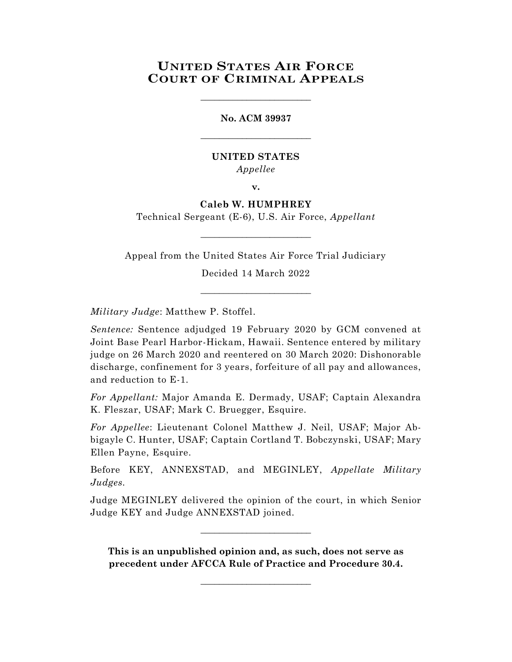# **UNITED STATES AIR FORCE COURT OF CRIMINAL APPEALS**

\_\_\_\_\_\_\_\_\_\_\_\_\_\_\_\_\_\_\_\_\_\_\_\_

**No. ACM 39937** \_\_\_\_\_\_\_\_\_\_\_\_\_\_\_\_\_\_\_\_\_\_\_\_

# **UNITED STATES** *Appellee*

**v.**

# **Caleb W. HUMPHREY**

Technical Sergeant (E-6), U.S. Air Force, *Appellant* \_\_\_\_\_\_\_\_\_\_\_\_\_\_\_\_\_\_\_\_\_\_\_\_

Appeal from the United States Air Force Trial Judiciary

Decided 14 March 2022

\_\_\_\_\_\_\_\_\_\_\_\_\_\_\_\_\_\_\_\_\_\_\_\_

*Military Judge*: Matthew P. Stoffel.

*Sentence:* Sentence adjudged 19 February 2020 by GCM convened at Joint Base Pearl Harbor-Hickam, Hawaii. Sentence entered by military judge on 26 March 2020 and reentered on 30 March 2020: Dishonorable discharge, confinement for 3 years, forfeiture of all pay and allowances, and reduction to E-1.

*For Appellant:* Major Amanda E. Dermady, USAF; Captain Alexandra K. Fleszar, USAF; Mark C. Bruegger, Esquire.

*For Appellee*: Lieutenant Colonel Matthew J. Neil, USAF; Major Abbigayle C. Hunter, USAF; Captain Cortland T. Bobczynski, USAF; Mary Ellen Payne, Esquire.

Before KEY, ANNEXSTAD, and MEGINLEY, *Appellate Military Judges.*

Judge MEGINLEY delivered the opinion of the court, in which Senior Judge KEY and Judge ANNEXSTAD joined.

\_\_\_\_\_\_\_\_\_\_\_\_\_\_\_\_\_\_\_\_\_\_\_\_

**This is an unpublished opinion and, as such, does not serve as precedent under AFCCA Rule of Practice and Procedure 30.4.**

\_\_\_\_\_\_\_\_\_\_\_\_\_\_\_\_\_\_\_\_\_\_\_\_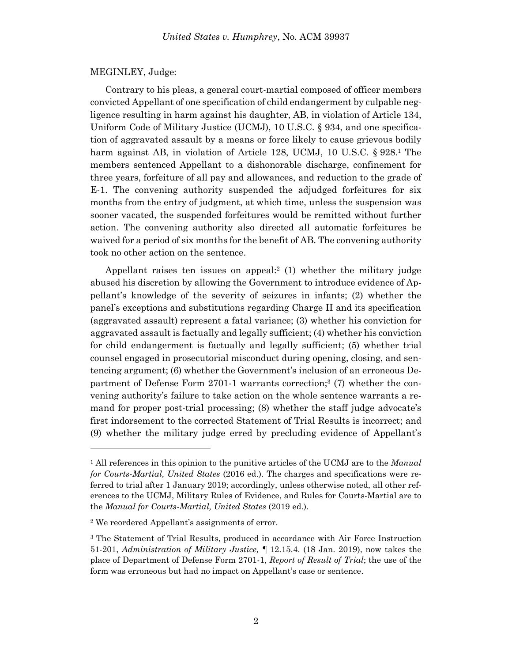### MEGINLEY, Judge:

Contrary to his pleas, a general court-martial composed of officer members convicted Appellant of one specification of child endangerment by culpable negligence resulting in harm against his daughter, AB, in violation of Article 134, Uniform Code of Military Justice (UCMJ), 10 U.S.C. § 934, and one specification of aggravated assault by a means or force likely to cause grievous bodily harm against AB, in violation of Article 128, UCMJ, 10 U.S.C. § 928.<sup>1</sup> The members sentenced Appellant to a dishonorable discharge, confinement for three years, forfeiture of all pay and allowances, and reduction to the grade of E-1. The convening authority suspended the adjudged forfeitures for six months from the entry of judgment, at which time, unless the suspension was sooner vacated, the suspended forfeitures would be remitted without further action. The convening authority also directed all automatic forfeitures be waived for a period of six months for the benefit of AB. The convening authority took no other action on the sentence.

Appellant raises ten issues on appeal:<sup>2</sup> (1) whether the military judge abused his discretion by allowing the Government to introduce evidence of Appellant's knowledge of the severity of seizures in infants; (2) whether the panel's exceptions and substitutions regarding Charge II and its specification (aggravated assault) represent a fatal variance; (3) whether his conviction for aggravated assault is factually and legally sufficient; (4) whether his conviction for child endangerment is factually and legally sufficient; (5) whether trial counsel engaged in prosecutorial misconduct during opening, closing, and sentencing argument; (6) whether the Government's inclusion of an erroneous Department of Defense Form 2701-1 warrants correction; 3 (7) whether the convening authority's failure to take action on the whole sentence warrants a remand for proper post-trial processing; (8) whether the staff judge advocate's first indorsement to the corrected Statement of Trial Results is incorrect; and (9) whether the military judge erred by precluding evidence of Appellant's

<sup>1</sup> All references in this opinion to the punitive articles of the UCMJ are to the *Manual for Courts-Martial, United States* (2016 ed.). The charges and specifications were referred to trial after 1 January 2019; accordingly, unless otherwise noted, all other references to the UCMJ, Military Rules of Evidence, and Rules for Courts-Martial are to the *Manual for Courts-Martial, United States* (2019 ed.).

<sup>2</sup> We reordered Appellant's assignments of error.

<sup>&</sup>lt;sup>3</sup> The Statement of Trial Results, produced in accordance with Air Force Instruction 51-201, *Administration of Military Justice,* ¶ 12.15.4. (18 Jan. 2019), now takes the place of Department of Defense Form 2701-1, *Report of Result of Trial*; the use of the form was erroneous but had no impact on Appellant's case or sentence.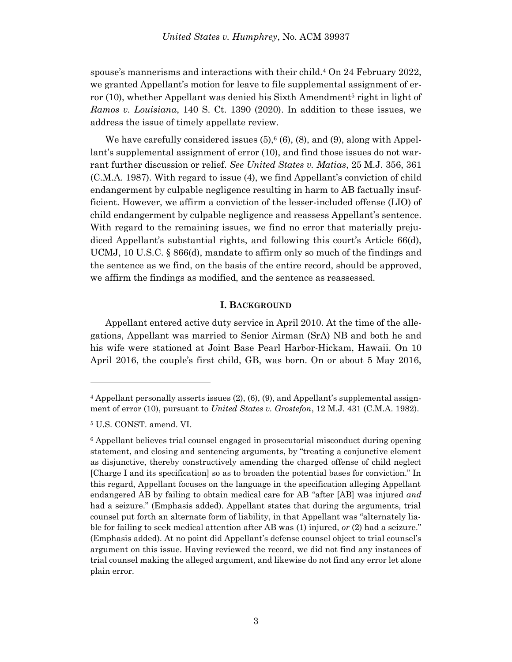spouse's mannerisms and interactions with their child.<sup>4</sup> On 24 February 2022, we granted Appellant's motion for leave to file supplemental assignment of error (10), whether Appellant was denied his Sixth Amendment<sup>5</sup> right in light of *Ramos v. Louisiana*, 140 S. Ct. 1390 (2020). In addition to these issues, we address the issue of timely appellate review.

We have carefully considered issues  $(5)$ ,  $(6)$ ,  $(8)$ , and  $(9)$ , along with Appellant's supplemental assignment of error (10), and find those issues do not warrant further discussion or relief. *See United States v. Matias*, 25 M.J. 356, 361 (C.M.A. 1987). With regard to issue (4), we find Appellant's conviction of child endangerment by culpable negligence resulting in harm to AB factually insufficient. However, we affirm a conviction of the lesser-included offense (LIO) of child endangerment by culpable negligence and reassess Appellant's sentence. With regard to the remaining issues, we find no error that materially prejudiced Appellant's substantial rights, and following this court's Article 66(d), UCMJ, 10 U.S.C. § 866(d), mandate to affirm only so much of the findings and the sentence as we find, on the basis of the entire record, should be approved, we affirm the findings as modified, and the sentence as reassessed.

#### **I. BACKGROUND**

Appellant entered active duty service in April 2010. At the time of the allegations, Appellant was married to Senior Airman (SrA) NB and both he and his wife were stationed at Joint Base Pearl Harbor-Hickam, Hawaii. On 10 April 2016, the couple's first child, GB, was born. On or about 5 May 2016,

<sup>4</sup> Appellant personally asserts issues (2), (6), (9), and Appellant's supplemental assignment of error (10), pursuant to *United States v. Grostefon*, 12 M.J. 431 (C.M.A. 1982).

<sup>5</sup> U.S. CONST. amend. VI.

<sup>6</sup> Appellant believes trial counsel engaged in prosecutorial misconduct during opening statement, and closing and sentencing arguments, by "treating a conjunctive element as disjunctive, thereby constructively amending the charged offense of child neglect [Charge I and its specification] so as to broaden the potential bases for conviction." In this regard, Appellant focuses on the language in the specification alleging Appellant endangered AB by failing to obtain medical care for AB "after [AB] was injured *and* had a seizure." (Emphasis added). Appellant states that during the arguments, trial counsel put forth an alternate form of liability, in that Appellant was "alternately liable for failing to seek medical attention after AB was (1) injured, *or* (2) had a seizure." (Emphasis added). At no point did Appellant's defense counsel object to trial counsel's argument on this issue. Having reviewed the record, we did not find any instances of trial counsel making the alleged argument, and likewise do not find any error let alone plain error.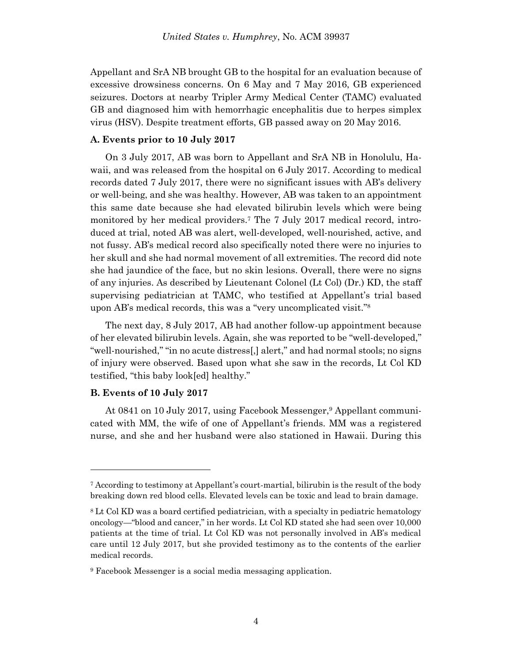Appellant and SrA NB brought GB to the hospital for an evaluation because of excessive drowsiness concerns. On 6 May and 7 May 2016, GB experienced seizures. Doctors at nearby Tripler Army Medical Center (TAMC) evaluated GB and diagnosed him with hemorrhagic encephalitis due to herpes simplex virus (HSV). Despite treatment efforts, GB passed away on 20 May 2016.

#### **A. Events prior to 10 July 2017**

On 3 July 2017, AB was born to Appellant and SrA NB in Honolulu, Hawaii, and was released from the hospital on 6 July 2017. According to medical records dated 7 July 2017, there were no significant issues with AB's delivery or well-being, and she was healthy. However, AB was taken to an appointment this same date because she had elevated bilirubin levels which were being monitored by her medical providers. <sup>7</sup> The 7 July 2017 medical record, introduced at trial, noted AB was alert, well-developed, well-nourished, active, and not fussy. AB's medical record also specifically noted there were no injuries to her skull and she had normal movement of all extremities. The record did note she had jaundice of the face, but no skin lesions. Overall, there were no signs of any injuries. As described by Lieutenant Colonel (Lt Col) (Dr.) KD, the staff supervising pediatrician at TAMC, who testified at Appellant's trial based upon AB's medical records, this was a "very uncomplicated visit." 8

The next day, 8 July 2017, AB had another follow-up appointment because of her elevated bilirubin levels. Again, she was reported to be "well-developed," "well-nourished," "in no acute distress[,] alert," and had normal stools; no signs of injury were observed. Based upon what she saw in the records, Lt Col KD testified, "this baby look[ed] healthy."

#### **B. Events of 10 July 2017**

l

At 0841 on 10 July 2017, using Facebook Messenger, <sup>9</sup> Appellant communicated with MM, the wife of one of Appellant's friends. MM was a registered nurse, and she and her husband were also stationed in Hawaii. During this

<sup>7</sup> According to testimony at Appellant's court-martial, bilirubin is the result of the body breaking down red blood cells. Elevated levels can be toxic and lead to brain damage.

<sup>8</sup> Lt Col KD was a board certified pediatrician, with a specialty in pediatric hematology oncology—"blood and cancer," in her words. Lt Col KD stated she had seen over 10,000 patients at the time of trial. Lt Col KD was not personally involved in AB's medical care until 12 July 2017, but she provided testimony as to the contents of the earlier medical records.

<sup>9</sup> Facebook Messenger is a social media messaging application.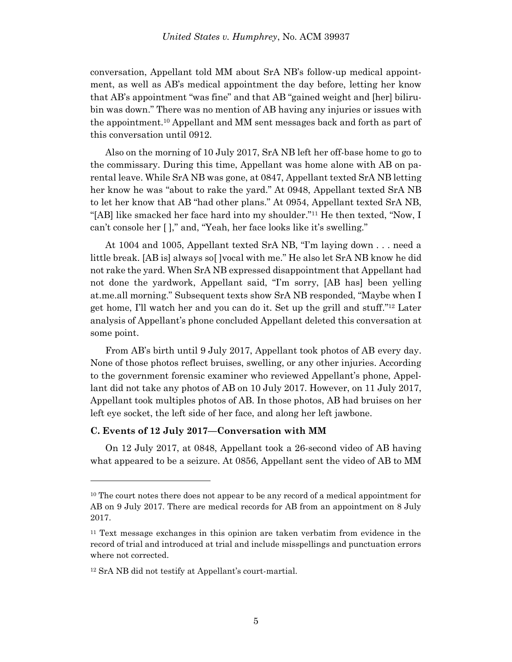conversation, Appellant told MM about SrA NB's follow-up medical appointment, as well as AB's medical appointment the day before, letting her know that AB's appointment "was fine" and that AB "gained weight and [her] bilirubin was down." There was no mention of AB having any injuries or issues with the appointment.<sup>10</sup> Appellant and MM sent messages back and forth as part of this conversation until 0912.

Also on the morning of 10 July 2017, SrA NB left her off-base home to go to the commissary. During this time, Appellant was home alone with AB on parental leave. While SrA NB was gone, at 0847, Appellant texted SrA NB letting her know he was "about to rake the yard." At 0948, Appellant texted SrA NB to let her know that AB "had other plans." At 0954, Appellant texted SrA NB, "[AB] like smacked her face hard into my shoulder."<sup>11</sup> He then texted, "Now, I can't console her [ ]," and, "Yeah, her face looks like it's swelling."

At 1004 and 1005, Appellant texted SrA NB, "I'm laying down . . . need a little break. [AB is] always so[ ]vocal with me." He also let SrA NB know he did not rake the yard. When SrA NB expressed disappointment that Appellant had not done the yardwork, Appellant said, "I'm sorry, [AB has] been yelling at.me.all morning." Subsequent texts show SrA NB responded, "Maybe when I get home, I'll watch her and you can do it. Set up the grill and stuff."<sup>12</sup> Later analysis of Appellant's phone concluded Appellant deleted this conversation at some point.

From AB's birth until 9 July 2017, Appellant took photos of AB every day. None of those photos reflect bruises, swelling, or any other injuries. According to the government forensic examiner who reviewed Appellant's phone, Appellant did not take any photos of AB on 10 July 2017. However, on 11 July 2017, Appellant took multiples photos of AB. In those photos, AB had bruises on her left eye socket, the left side of her face, and along her left jawbone.

#### **C. Events of 12 July 2017—Conversation with MM**

On 12 July 2017, at 0848, Appellant took a 26-second video of AB having what appeared to be a seizure. At 0856, Appellant sent the video of AB to MM

<sup>&</sup>lt;sup>10</sup> The court notes there does not appear to be any record of a medical appointment for AB on 9 July 2017. There are medical records for AB from an appointment on 8 July 2017.

<sup>11</sup> Text message exchanges in this opinion are taken verbatim from evidence in the record of trial and introduced at trial and include misspellings and punctuation errors where not corrected.

<sup>12</sup> SrA NB did not testify at Appellant's court-martial.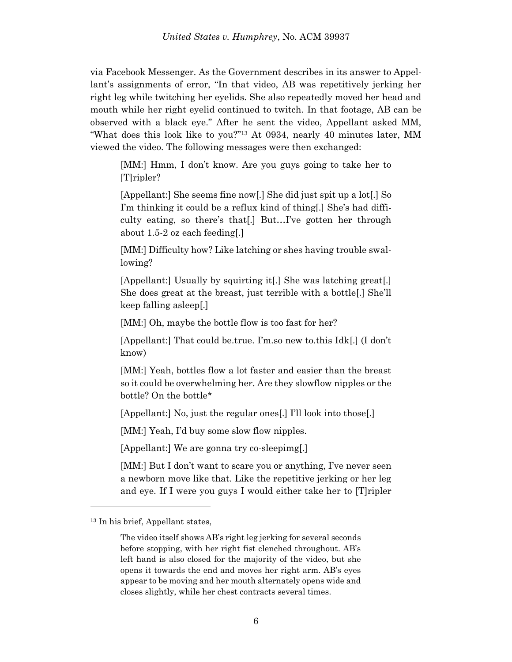via Facebook Messenger. As the Government describes in its answer to Appellant's assignments of error, "In that video, AB was repetitively jerking her right leg while twitching her eyelids. She also repeatedly moved her head and mouth while her right eyelid continued to twitch. In that footage, AB can be observed with a black eye." After he sent the video, Appellant asked MM, "What does this look like to you?"<sup>13</sup> At 0934, nearly 40 minutes later, MM viewed the video. The following messages were then exchanged:

[MM:] Hmm, I don't know. Are you guys going to take her to [T]ripler?

[Appellant:] She seems fine now[.] She did just spit up a lot[.] So I'm thinking it could be a reflux kind of thing[.] She's had difficulty eating, so there's that[.] But…I've gotten her through about 1.5-2 oz each feeding[.]

[MM:] Difficulty how? Like latching or shes having trouble swallowing?

[Appellant:] Usually by squirting it[.] She was latching great[.] She does great at the breast, just terrible with a bottle[.] She'll keep falling asleep[.]

[MM:] Oh, maybe the bottle flow is too fast for her?

[Appellant:] That could be.true. I'm.so new to.this Idk[.] (I don't know)

[MM:] Yeah, bottles flow a lot faster and easier than the breast so it could be overwhelming her. Are they slowflow nipples or the bottle? On the bottle\*

[Appellant:] No, just the regular ones[.] I'll look into those[.]

[MM:] Yeah, I'd buy some slow flow nipples.

[Appellant:] We are gonna try co-sleepimg[.]

[MM:] But I don't want to scare you or anything, I've never seen a newborn move like that. Like the repetitive jerking or her leg and eye. If I were you guys I would either take her to [T]ripler

<sup>13</sup> In his brief, Appellant states,

The video itself shows AB's right leg jerking for several seconds before stopping, with her right fist clenched throughout. AB's left hand is also closed for the majority of the video, but she opens it towards the end and moves her right arm. AB's eyes appear to be moving and her mouth alternately opens wide and closes slightly, while her chest contracts several times.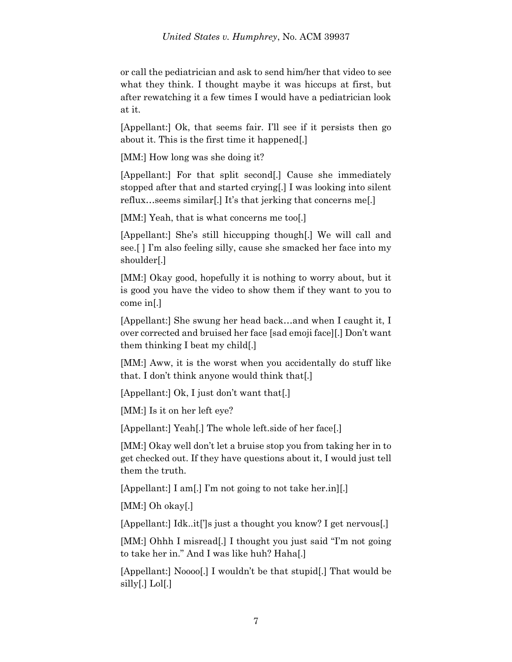or call the pediatrician and ask to send him/her that video to see what they think. I thought maybe it was hiccups at first, but after rewatching it a few times I would have a pediatrician look at it.

[Appellant:] Ok, that seems fair. I'll see if it persists then go about it. This is the first time it happened[.]

[MM:] How long was she doing it?

[Appellant:] For that split second[.] Cause she immediately stopped after that and started crying[.] I was looking into silent reflux…seems similar[.] It's that jerking that concerns me[.]

[MM:] Yeah, that is what concerns me too[.]

[Appellant:] She's still hiccupping though[.] We will call and see.[ ] I'm also feeling silly, cause she smacked her face into my shoulder[.]

[MM:] Okay good, hopefully it is nothing to worry about, but it is good you have the video to show them if they want to you to come in[.]

[Appellant:] She swung her head back…and when I caught it, I over corrected and bruised her face [sad emoji face][.] Don't want them thinking I beat my child[.]

[MM:] Aww, it is the worst when you accidentally do stuff like that. I don't think anyone would think that[.]

[Appellant:] Ok, I just don't want that[.]

[MM:] Is it on her left eye?

[Appellant:] Yeah[.] The whole left.side of her face[.]

[MM:] Okay well don't let a bruise stop you from taking her in to get checked out. If they have questions about it, I would just tell them the truth.

[Appellant:] I am[.] I'm not going to not take her.in][.]

[MM:] Oh okay[.]

[Appellant:] Idk..it[']s just a thought you know? I get nervous[.]

[MM:] Ohhh I misread<sup>[1]</sup> I thought you just said "I'm not going" to take her in." And I was like huh? Haha[.]

[Appellant:] Noooo[.] I wouldn't be that stupid[.] That would be silly[.] Lol[.]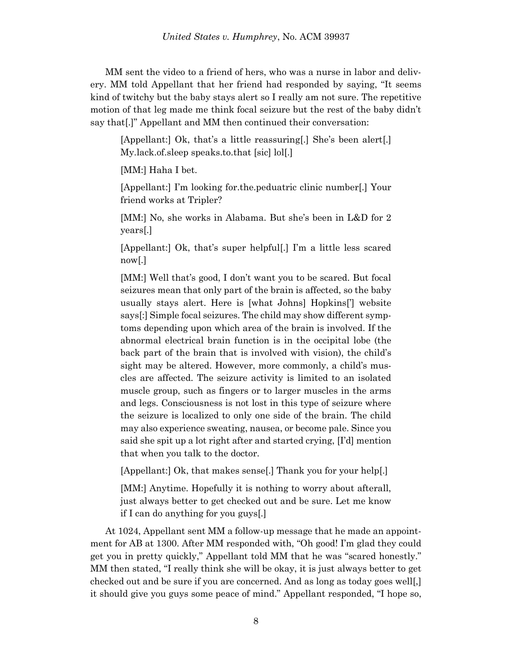MM sent the video to a friend of hers, who was a nurse in labor and delivery. MM told Appellant that her friend had responded by saying, "It seems kind of twitchy but the baby stays alert so I really am not sure. The repetitive motion of that leg made me think focal seizure but the rest of the baby didn't say that[.]" Appellant and MM then continued their conversation:

[Appellant:] Ok, that's a little reassuring[.] She's been alert[.] My.lack.of.sleep speaks.to.that [sic] lol[.]

[MM:] Haha I bet.

[Appellant:] I'm looking for.the.peduatric clinic number[.] Your friend works at Tripler?

[MM:] No, she works in Alabama. But she's been in L&D for 2 years[.]

[Appellant:] Ok, that's super helpful[.] I'm a little less scared now[.]

[MM:] Well that's good, I don't want you to be scared. But focal seizures mean that only part of the brain is affected, so the baby usually stays alert. Here is [what Johns] Hopkins['] website says[:] Simple focal seizures. The child may show different symptoms depending upon which area of the brain is involved. If the abnormal electrical brain function is in the occipital lobe (the back part of the brain that is involved with vision), the child's sight may be altered. However, more commonly, a child's muscles are affected. The seizure activity is limited to an isolated muscle group, such as fingers or to larger muscles in the arms and legs. Consciousness is not lost in this type of seizure where the seizure is localized to only one side of the brain. The child may also experience sweating, nausea, or become pale. Since you said she spit up a lot right after and started crying, [I'd] mention that when you talk to the doctor.

[Appellant:] Ok, that makes sense[.] Thank you for your help[.]

[MM:] Anytime. Hopefully it is nothing to worry about afterall, just always better to get checked out and be sure. Let me know if I can do anything for you guys[.]

At 1024, Appellant sent MM a follow-up message that he made an appointment for AB at 1300. After MM responded with, "Oh good! I'm glad they could get you in pretty quickly," Appellant told MM that he was "scared honestly." MM then stated, "I really think she will be okay, it is just always better to get checked out and be sure if you are concerned. And as long as today goes well[,] it should give you guys some peace of mind." Appellant responded, "I hope so,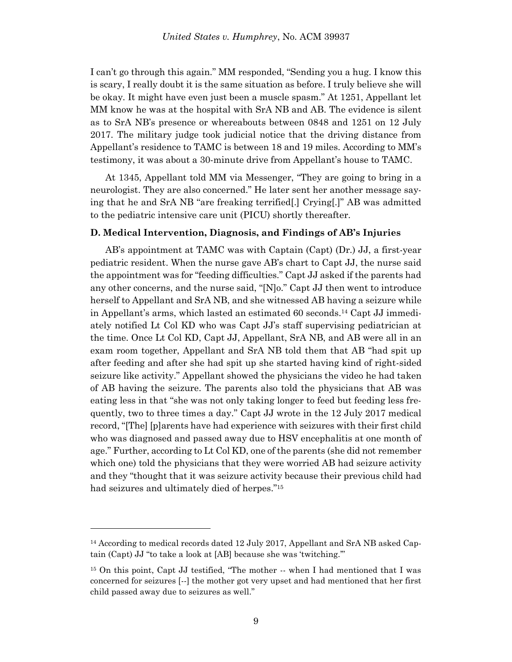I can't go through this again." MM responded, "Sending you a hug. I know this is scary, I really doubt it is the same situation as before. I truly believe she will be okay. It might have even just been a muscle spasm." At 1251, Appellant let MM know he was at the hospital with SrA NB and AB. The evidence is silent as to SrA NB's presence or whereabouts between 0848 and 1251 on 12 July 2017. The military judge took judicial notice that the driving distance from Appellant's residence to TAMC is between 18 and 19 miles. According to MM's testimony, it was about a 30-minute drive from Appellant's house to TAMC.

At 1345, Appellant told MM via Messenger, "They are going to bring in a neurologist. They are also concerned." He later sent her another message saying that he and SrA NB "are freaking terrified[.] Crying[.]" AB was admitted to the pediatric intensive care unit (PICU) shortly thereafter.

### **D. Medical Intervention, Diagnosis, and Findings of AB's Injuries**

AB's appointment at TAMC was with Captain (Capt) (Dr.) JJ, a first-year pediatric resident. When the nurse gave AB's chart to Capt JJ, the nurse said the appointment was for "feeding difficulties." Capt JJ asked if the parents had any other concerns, and the nurse said, "[N]o." Capt JJ then went to introduce herself to Appellant and SrA NB, and she witnessed AB having a seizure while in Appellant's arms, which lasted an estimated 60 seconds. <sup>14</sup> Capt JJ immediately notified Lt Col KD who was Capt JJ's staff supervising pediatrician at the time. Once Lt Col KD, Capt JJ, Appellant, SrA NB, and AB were all in an exam room together, Appellant and SrA NB told them that AB "had spit up after feeding and after she had spit up she started having kind of right-sided seizure like activity." Appellant showed the physicians the video he had taken of AB having the seizure. The parents also told the physicians that AB was eating less in that "she was not only taking longer to feed but feeding less frequently, two to three times a day." Capt JJ wrote in the 12 July 2017 medical record, "[The] [p]arents have had experience with seizures with their first child who was diagnosed and passed away due to HSV encephalitis at one month of age." Further, according to Lt Col KD, one of the parents (she did not remember which one) told the physicians that they were worried AB had seizure activity and they "thought that it was seizure activity because their previous child had had seizures and ultimately died of herpes."<sup>15</sup>

<sup>&</sup>lt;sup>14</sup> According to medical records dated 12 July 2017, Appellant and SrA NB asked Captain (Capt) JJ "to take a look at [AB] because she was 'twitching.'"

<sup>15</sup> On this point, Capt JJ testified, "The mother -- when I had mentioned that I was concerned for seizures [--] the mother got very upset and had mentioned that her first child passed away due to seizures as well."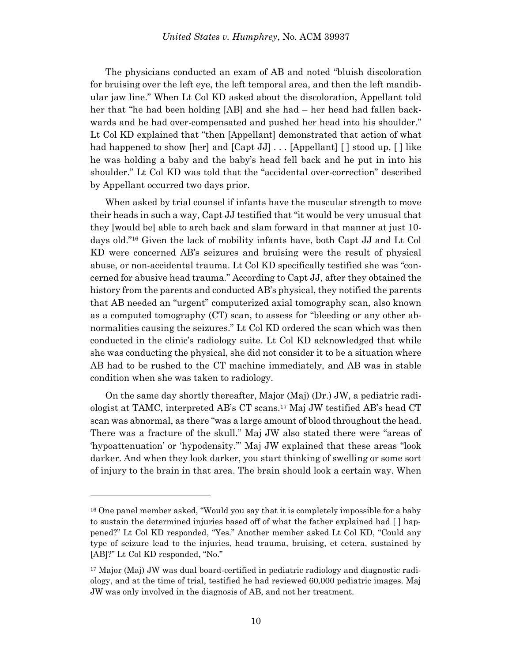The physicians conducted an exam of AB and noted "bluish discoloration for bruising over the left eye, the left temporal area, and then the left mandibular jaw line." When Lt Col KD asked about the discoloration, Appellant told her that "he had been holding [AB] and she had – her head had fallen backwards and he had over-compensated and pushed her head into his shoulder." Lt Col KD explained that "then [Appellant] demonstrated that action of what had happened to show [her] and [Capt JJ] . . . [Appellant] [ ] stood up, [ ] like he was holding a baby and the baby's head fell back and he put in into his shoulder." Lt Col KD was told that the "accidental over-correction" described by Appellant occurred two days prior.

When asked by trial counsel if infants have the muscular strength to move their heads in such a way, Capt JJ testified that "it would be very unusual that they [would be] able to arch back and slam forward in that manner at just 10 days old."<sup>16</sup> Given the lack of mobility infants have, both Capt JJ and Lt Col KD were concerned AB's seizures and bruising were the result of physical abuse, or non-accidental trauma. Lt Col KD specifically testified she was "concerned for abusive head trauma." According to Capt JJ, after they obtained the history from the parents and conducted AB's physical, they notified the parents that AB needed an "urgent" computerized axial tomography scan, also known as a computed tomography (CT) scan, to assess for "bleeding or any other abnormalities causing the seizures." Lt Col KD ordered the scan which was then conducted in the clinic's radiology suite. Lt Col KD acknowledged that while she was conducting the physical, she did not consider it to be a situation where AB had to be rushed to the CT machine immediately, and AB was in stable condition when she was taken to radiology.

On the same day shortly thereafter, Major (Maj) (Dr.) JW, a pediatric radiologist at TAMC, interpreted AB's CT scans.<sup>17</sup> Maj JW testified AB's head CT scan was abnormal, as there "was a large amount of blood throughout the head. There was a fracture of the skull." Maj JW also stated there were "areas of 'hypoattenuation' or 'hypodensity.'" Maj JW explained that these areas "look darker. And when they look darker, you start thinking of swelling or some sort of injury to the brain in that area. The brain should look a certain way. When

<sup>&</sup>lt;sup>16</sup> One panel member asked, "Would you say that it is completely impossible for a baby to sustain the determined injuries based off of what the father explained had [ ] happened?" Lt Col KD responded, "Yes." Another member asked Lt Col KD, "Could any type of seizure lead to the injuries, head trauma, bruising, et cetera, sustained by [AB]?" Lt Col KD responded, "No."

<sup>17</sup> Major (Maj) JW was dual board-certified in pediatric radiology and diagnostic radiology, and at the time of trial, testified he had reviewed 60,000 pediatric images. Maj JW was only involved in the diagnosis of AB, and not her treatment.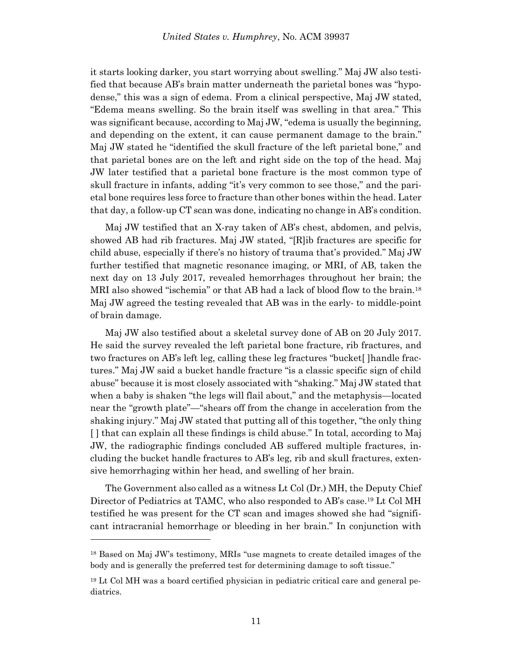it starts looking darker, you start worrying about swelling." Maj JW also testified that because AB's brain matter underneath the parietal bones was "hypodense," this was a sign of edema. From a clinical perspective, Maj JW stated, "Edema means swelling. So the brain itself was swelling in that area." This was significant because, according to Maj JW, "edema is usually the beginning, and depending on the extent, it can cause permanent damage to the brain." Maj JW stated he "identified the skull fracture of the left parietal bone," and that parietal bones are on the left and right side on the top of the head. Maj JW later testified that a parietal bone fracture is the most common type of skull fracture in infants, adding "it's very common to see those," and the parietal bone requires less force to fracture than other bones within the head. Later that day, a follow-up CT scan was done, indicating no change in AB's condition.

Maj JW testified that an X-ray taken of AB's chest, abdomen, and pelvis, showed AB had rib fractures. Maj JW stated, "[R]ib fractures are specific for child abuse, especially if there's no history of trauma that's provided." Maj JW further testified that magnetic resonance imaging, or MRI, of AB, taken the next day on 13 July 2017, revealed hemorrhages throughout her brain; the MRI also showed "ischemia" or that AB had a lack of blood flow to the brain.<sup>18</sup> Maj JW agreed the testing revealed that AB was in the early- to middle-point of brain damage.

Maj JW also testified about a skeletal survey done of AB on 20 July 2017. He said the survey revealed the left parietal bone fracture, rib fractures, and two fractures on AB's left leg, calling these leg fractures "bucket[ ]handle fractures." Maj JW said a bucket handle fracture "is a classic specific sign of child abuse" because it is most closely associated with "shaking." Maj JW stated that when a baby is shaken "the legs will flail about," and the metaphysis—located near the "growth plate"—"shears off from the change in acceleration from the shaking injury." Maj JW stated that putting all of this together, "the only thing [ ] that can explain all these findings is child abuse." In total, according to Maj JW, the radiographic findings concluded AB suffered multiple fractures, including the bucket handle fractures to AB's leg, rib and skull fractures, extensive hemorrhaging within her head, and swelling of her brain.

The Government also called as a witness Lt Col (Dr.) MH, the Deputy Chief Director of Pediatrics at TAMC, who also responded to AB's case.<sup>19</sup> Lt Col MH testified he was present for the CT scan and images showed she had "significant intracranial hemorrhage or bleeding in her brain." In conjunction with

<sup>18</sup> Based on Maj JW's testimony, MRIs "use magnets to create detailed images of the body and is generally the preferred test for determining damage to soft tissue."

<sup>19</sup> Lt Col MH was a board certified physician in pediatric critical care and general pediatrics.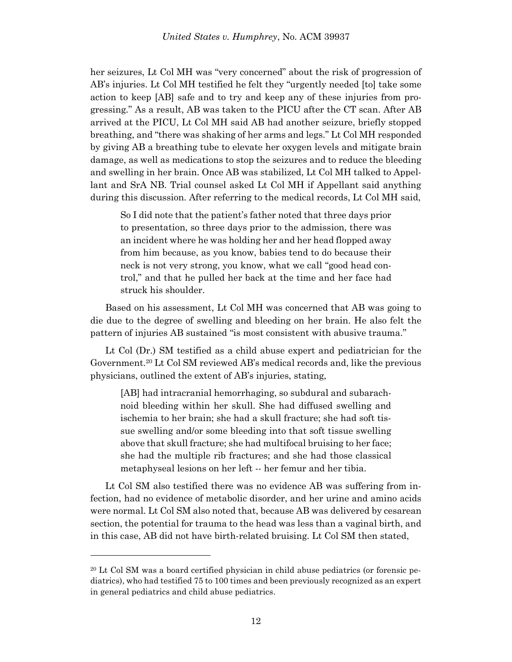her seizures, Lt Col MH was "very concerned" about the risk of progression of AB's injuries. Lt Col MH testified he felt they "urgently needed [to] take some action to keep [AB] safe and to try and keep any of these injuries from progressing." As a result, AB was taken to the PICU after the CT scan. After AB arrived at the PICU, Lt Col MH said AB had another seizure, briefly stopped breathing, and "there was shaking of her arms and legs." Lt Col MH responded by giving AB a breathing tube to elevate her oxygen levels and mitigate brain damage, as well as medications to stop the seizures and to reduce the bleeding and swelling in her brain. Once AB was stabilized, Lt Col MH talked to Appellant and SrA NB. Trial counsel asked Lt Col MH if Appellant said anything during this discussion. After referring to the medical records, Lt Col MH said,

So I did note that the patient's father noted that three days prior to presentation, so three days prior to the admission, there was an incident where he was holding her and her head flopped away from him because, as you know, babies tend to do because their neck is not very strong, you know, what we call "good head control," and that he pulled her back at the time and her face had struck his shoulder.

Based on his assessment, Lt Col MH was concerned that AB was going to die due to the degree of swelling and bleeding on her brain. He also felt the pattern of injuries AB sustained "is most consistent with abusive trauma."

Lt Col (Dr.) SM testified as a child abuse expert and pediatrician for the Government. <sup>20</sup> Lt Col SM reviewed AB's medical records and, like the previous physicians, outlined the extent of AB's injuries, stating,

[AB] had intracranial hemorrhaging, so subdural and subarachnoid bleeding within her skull. She had diffused swelling and ischemia to her brain; she had a skull fracture; she had soft tissue swelling and/or some bleeding into that soft tissue swelling above that skull fracture; she had multifocal bruising to her face; she had the multiple rib fractures; and she had those classical metaphyseal lesions on her left -- her femur and her tibia.

Lt Col SM also testified there was no evidence AB was suffering from infection, had no evidence of metabolic disorder, and her urine and amino acids were normal. Lt Col SM also noted that, because AB was delivered by cesarean section, the potential for trauma to the head was less than a vaginal birth, and in this case, AB did not have birth-related bruising. Lt Col SM then stated,

<sup>20</sup> Lt Col SM was a board certified physician in child abuse pediatrics (or forensic pediatrics), who had testified 75 to 100 times and been previously recognized as an expert in general pediatrics and child abuse pediatrics.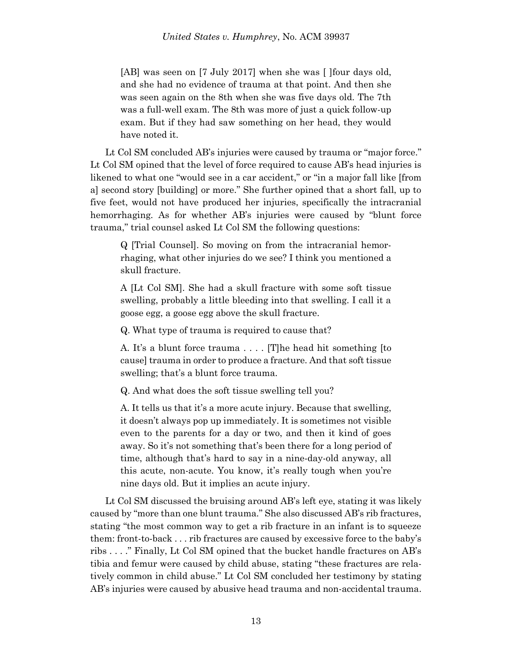[AB] was seen on [7 July 2017] when she was [ ]four days old, and she had no evidence of trauma at that point. And then she was seen again on the 8th when she was five days old. The 7th was a full-well exam. The 8th was more of just a quick follow-up exam. But if they had saw something on her head, they would have noted it.

Lt Col SM concluded AB's injuries were caused by trauma or "major force." Lt Col SM opined that the level of force required to cause AB's head injuries is likened to what one "would see in a car accident," or "in a major fall like [from a] second story [building] or more." She further opined that a short fall, up to five feet, would not have produced her injuries, specifically the intracranial hemorrhaging. As for whether AB's injuries were caused by "blunt force trauma," trial counsel asked Lt Col SM the following questions:

Q [Trial Counsel]. So moving on from the intracranial hemorrhaging, what other injuries do we see? I think you mentioned a skull fracture.

A [Lt Col SM]. She had a skull fracture with some soft tissue swelling, probably a little bleeding into that swelling. I call it a goose egg, a goose egg above the skull fracture.

Q. What type of trauma is required to cause that?

A. It's a blunt force trauma . . . . [T]he head hit something [to cause] trauma in order to produce a fracture. And that soft tissue swelling; that's a blunt force trauma.

Q. And what does the soft tissue swelling tell you?

A. It tells us that it's a more acute injury. Because that swelling, it doesn't always pop up immediately. It is sometimes not visible even to the parents for a day or two, and then it kind of goes away. So it's not something that's been there for a long period of time, although that's hard to say in a nine-day-old anyway, all this acute, non-acute. You know, it's really tough when you're nine days old. But it implies an acute injury.

Lt Col SM discussed the bruising around AB's left eye, stating it was likely caused by "more than one blunt trauma." She also discussed AB's rib fractures, stating "the most common way to get a rib fracture in an infant is to squeeze them: front-to-back . . . rib fractures are caused by excessive force to the baby's ribs . . . ." Finally, Lt Col SM opined that the bucket handle fractures on AB's tibia and femur were caused by child abuse, stating "these fractures are relatively common in child abuse." Lt Col SM concluded her testimony by stating AB's injuries were caused by abusive head trauma and non-accidental trauma.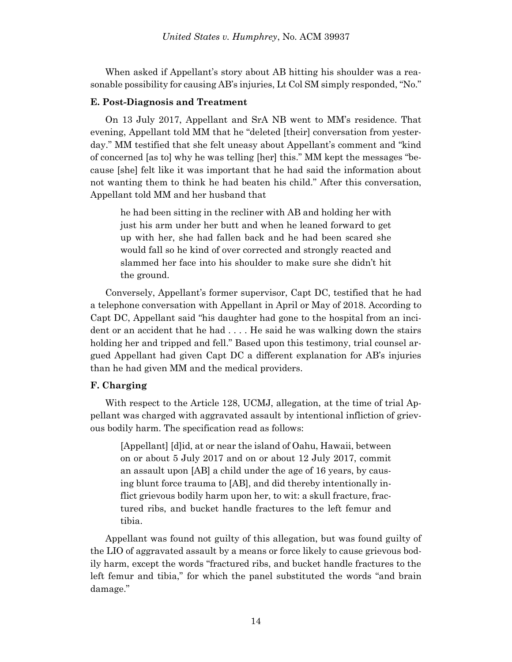When asked if Appellant's story about AB hitting his shoulder was a reasonable possibility for causing AB's injuries, Lt Col SM simply responded, "No."

### **E. Post-Diagnosis and Treatment**

On 13 July 2017, Appellant and SrA NB went to MM's residence. That evening, Appellant told MM that he "deleted [their] conversation from yesterday." MM testified that she felt uneasy about Appellant's comment and "kind of concerned [as to] why he was telling [her] this." MM kept the messages "because [she] felt like it was important that he had said the information about not wanting them to think he had beaten his child." After this conversation, Appellant told MM and her husband that

he had been sitting in the recliner with AB and holding her with just his arm under her butt and when he leaned forward to get up with her, she had fallen back and he had been scared she would fall so he kind of over corrected and strongly reacted and slammed her face into his shoulder to make sure she didn't hit the ground.

Conversely, Appellant's former supervisor, Capt DC, testified that he had a telephone conversation with Appellant in April or May of 2018. According to Capt DC, Appellant said "his daughter had gone to the hospital from an incident or an accident that he had . . . . He said he was walking down the stairs holding her and tripped and fell." Based upon this testimony, trial counsel argued Appellant had given Capt DC a different explanation for AB's injuries than he had given MM and the medical providers.

# **F. Charging**

With respect to the Article 128, UCMJ, allegation, at the time of trial Appellant was charged with aggravated assault by intentional infliction of grievous bodily harm. The specification read as follows:

[Appellant] [d]id, at or near the island of Oahu, Hawaii, between on or about 5 July 2017 and on or about 12 July 2017, commit an assault upon [AB] a child under the age of 16 years, by causing blunt force trauma to [AB], and did thereby intentionally inflict grievous bodily harm upon her, to wit: a skull fracture, fractured ribs, and bucket handle fractures to the left femur and tibia.

Appellant was found not guilty of this allegation, but was found guilty of the LIO of aggravated assault by a means or force likely to cause grievous bodily harm, except the words "fractured ribs, and bucket handle fractures to the left femur and tibia," for which the panel substituted the words "and brain damage."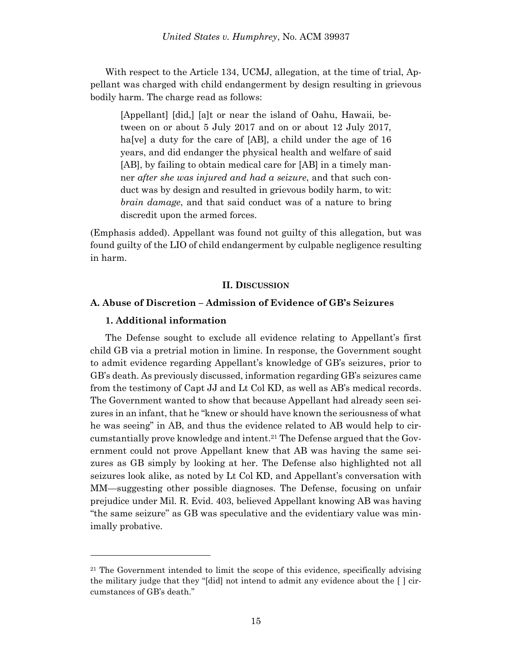With respect to the Article 134, UCMJ, allegation, at the time of trial, Appellant was charged with child endangerment by design resulting in grievous bodily harm. The charge read as follows:

[Appellant] [did,] [a]t or near the island of Oahu, Hawaii, between on or about 5 July 2017 and on or about 12 July 2017, ha<sup>[ve]</sup> a duty for the care of [AB], a child under the age of 16 years, and did endanger the physical health and welfare of said [AB], by failing to obtain medical care for [AB] in a timely manner *after she was injured and had a seizure*, and that such conduct was by design and resulted in grievous bodily harm, to wit: *brain damage*, and that said conduct was of a nature to bring discredit upon the armed forces.

(Emphasis added). Appellant was found not guilty of this allegation, but was found guilty of the LIO of child endangerment by culpable negligence resulting in harm.

### **II. DISCUSSION**

# **A. Abuse of Discretion – Admission of Evidence of GB's Seizures**

#### **1. Additional information**

l

The Defense sought to exclude all evidence relating to Appellant's first child GB via a pretrial motion in limine. In response, the Government sought to admit evidence regarding Appellant's knowledge of GB's seizures, prior to GB's death. As previously discussed, information regarding GB's seizures came from the testimony of Capt JJ and Lt Col KD, as well as AB's medical records. The Government wanted to show that because Appellant had already seen seizures in an infant, that he "knew or should have known the seriousness of what he was seeing" in AB, and thus the evidence related to AB would help to circumstantially prove knowledge and intent.<sup>21</sup> The Defense argued that the Government could not prove Appellant knew that AB was having the same seizures as GB simply by looking at her. The Defense also highlighted not all seizures look alike, as noted by Lt Col KD, and Appellant's conversation with MM—suggesting other possible diagnoses. The Defense, focusing on unfair prejudice under Mil. R. Evid. 403, believed Appellant knowing AB was having "the same seizure" as GB was speculative and the evidentiary value was minimally probative.

<sup>&</sup>lt;sup>21</sup> The Government intended to limit the scope of this evidence, specifically advising the military judge that they "[did] not intend to admit any evidence about the  $\lceil \cdot \rceil$  circumstances of GB's death."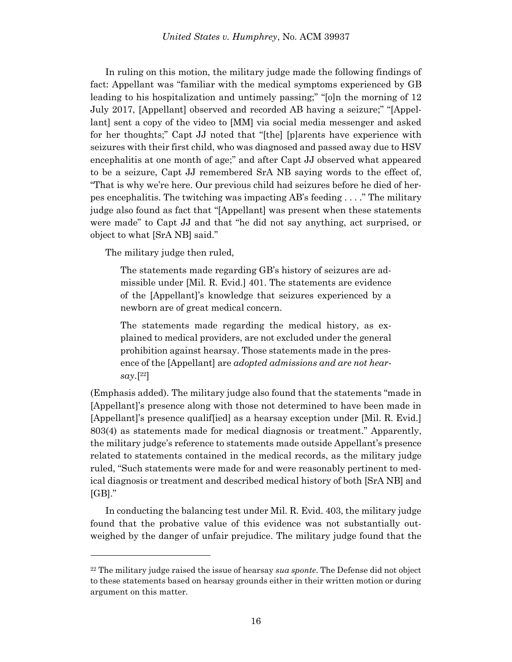In ruling on this motion, the military judge made the following findings of fact: Appellant was "familiar with the medical symptoms experienced by GB leading to his hospitalization and untimely passing;" "[o]n the morning of 12 July 2017, [Appellant] observed and recorded AB having a seizure;" "[Appellant] sent a copy of the video to [MM] via social media messenger and asked for her thoughts;" Capt JJ noted that "[the] [p]arents have experience with seizures with their first child, who was diagnosed and passed away due to HSV encephalitis at one month of age;" and after Capt JJ observed what appeared to be a seizure, Capt JJ remembered SrA NB saying words to the effect of, "That is why we're here. Our previous child had seizures before he died of herpes encephalitis. The twitching was impacting AB's feeding . . . ." The military judge also found as fact that "[Appellant] was present when these statements were made" to Capt JJ and that "he did not say anything, act surprised, or object to what [SrA NB] said."

The military judge then ruled,

l

The statements made regarding GB's history of seizures are admissible under [Mil. R. Evid.] 401. The statements are evidence of the [Appellant]'s knowledge that seizures experienced by a newborn are of great medical concern.

The statements made regarding the medical history, as explained to medical providers, are not excluded under the general prohibition against hearsay. Those statements made in the presence of the [Appellant] are *adopted admissions and are not hearsay*.[ <sup>22</sup>]

(Emphasis added). The military judge also found that the statements "made in [Appellant]'s presence along with those not determined to have been made in [Appellant]'s presence qualif[ied] as a hearsay exception under [Mil. R. Evid.] 803(4) as statements made for medical diagnosis or treatment." Apparently, the military judge's reference to statements made outside Appellant's presence related to statements contained in the medical records, as the military judge ruled, "Such statements were made for and were reasonably pertinent to medical diagnosis or treatment and described medical history of both [SrA NB] and  $[GB]$ ."

In conducting the balancing test under Mil. R. Evid. 403, the military judge found that the probative value of this evidence was not substantially outweighed by the danger of unfair prejudice. The military judge found that the

<sup>22</sup> The military judge raised the issue of hearsay *sua sponte*. The Defense did not object to these statements based on hearsay grounds either in their written motion or during argument on this matter.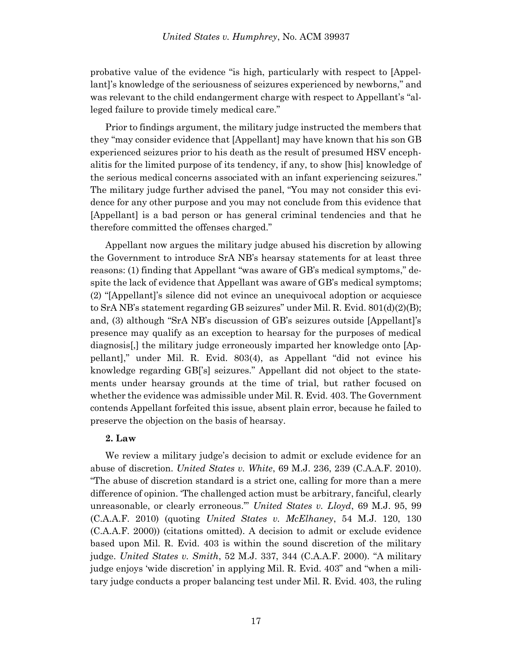probative value of the evidence "is high, particularly with respect to [Appellant]'s knowledge of the seriousness of seizures experienced by newborns," and was relevant to the child endangerment charge with respect to Appellant's "alleged failure to provide timely medical care."

Prior to findings argument, the military judge instructed the members that they "may consider evidence that [Appellant] may have known that his son GB experienced seizures prior to his death as the result of presumed HSV encephalitis for the limited purpose of its tendency, if any, to show [his] knowledge of the serious medical concerns associated with an infant experiencing seizures." The military judge further advised the panel, "You may not consider this evidence for any other purpose and you may not conclude from this evidence that [Appellant] is a bad person or has general criminal tendencies and that he therefore committed the offenses charged."

Appellant now argues the military judge abused his discretion by allowing the Government to introduce SrA NB's hearsay statements for at least three reasons: (1) finding that Appellant "was aware of GB's medical symptoms," despite the lack of evidence that Appellant was aware of GB's medical symptoms; (2) "[Appellant]'s silence did not evince an unequivocal adoption or acquiesce to SrA NB's statement regarding GB seizures" under Mil. R. Evid. 801(d)(2)(B); and, (3) although "SrA NB's discussion of GB's seizures outside [Appellant]'s presence may qualify as an exception to hearsay for the purposes of medical diagnosis[,] the military judge erroneously imparted her knowledge onto [Appellant]," under Mil. R. Evid. 803(4), as Appellant "did not evince his knowledge regarding GB['s] seizures." Appellant did not object to the statements under hearsay grounds at the time of trial, but rather focused on whether the evidence was admissible under Mil. R. Evid. 403. The Government contends Appellant forfeited this issue, absent plain error, because he failed to preserve the objection on the basis of hearsay.

### **2. Law**

We review a military judge's decision to admit or exclude evidence for an abuse of discretion. *United States v. White*, 69 M.J. 236, 239 (C.A.A.F. 2010). "The abuse of discretion standard is a strict one, calling for more than a mere difference of opinion. 'The challenged action must be arbitrary, fanciful, clearly unreasonable, or clearly erroneous.'" *United States v. Lloyd*, 69 M.J. 95, 99 (C.A.A.F. 2010) (quoting *United States v. McElhaney*, 54 M.J. 120, 130 (C.A.A.F. 2000)) (citations omitted). A decision to admit or exclude evidence based upon Mil. R. Evid. 403 is within the sound discretion of the military judge. *United States v. Smith*, 52 M.J. 337, 344 (C.A.A.F. 2000). "A military judge enjoys 'wide discretion' in applying Mil. R. Evid. 403" and "when a military judge conducts a proper balancing test under Mil. R. Evid. 403, the ruling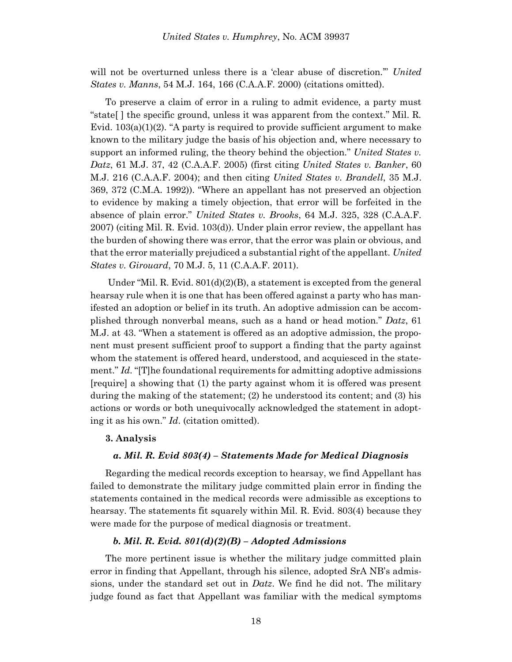will not be overturned unless there is a 'clear abuse of discretion.'" *United States v. Manns*, 54 M.J. 164, 166 (C.A.A.F. 2000) (citations omitted).

To preserve a claim of error in a ruling to admit evidence, a party must "state[ ] the specific ground, unless it was apparent from the context." Mil. R. Evid. 103(a)(1)(2). "A party is required to provide sufficient argument to make known to the military judge the basis of his objection and, where necessary to support an informed ruling, the theory behind the objection." *United States v. Datz*, 61 M.J. 37, 42 (C.A.A.F. 2005) (first citing *United States v. Banker*, 60 M.J. 216 (C.A.A.F. 2004); and then citing *United States v. Brandell*, 35 M.J. 369, 372 (C.M.A. 1992)). "Where an appellant has not preserved an objection to evidence by making a timely objection, that error will be forfeited in the absence of plain error." *United States v. Brooks*, 64 M.J. 325, 328 (C.A.A.F. 2007) (citing Mil. R. Evid. 103(d)). Under plain error review, the appellant has the burden of showing there was error, that the error was plain or obvious, and that the error materially prejudiced a substantial right of the appellant. *United States v. Girouard*, 70 M.J. 5, 11 (C.A.A.F. 2011).

Under "Mil. R. Evid. 801(d)(2)(B), a statement is excepted from the general hearsay rule when it is one that has been offered against a party who has manifested an adoption or belief in its truth. An adoptive admission can be accomplished through nonverbal means, such as a hand or head motion." *Datz*, 61 M.J. at 43. "When a statement is offered as an adoptive admission, the proponent must present sufficient proof to support a finding that the party against whom the statement is offered heard, understood, and acquiesced in the statement." *Id*. "[T]he foundational requirements for admitting adoptive admissions [require] a showing that (1) the party against whom it is offered was present during the making of the statement; (2) he understood its content; and (3) his actions or words or both unequivocally acknowledged the statement in adopting it as his own." *Id*. (citation omitted).

### **3. Analysis**

### *a. Mil. R. Evid 803(4) – Statements Made for Medical Diagnosis*

Regarding the medical records exception to hearsay, we find Appellant has failed to demonstrate the military judge committed plain error in finding the statements contained in the medical records were admissible as exceptions to hearsay. The statements fit squarely within Mil. R. Evid. 803(4) because they were made for the purpose of medical diagnosis or treatment.

### *b. Mil. R. Evid. 801(d)(2)(B) – Adopted Admissions*

The more pertinent issue is whether the military judge committed plain error in finding that Appellant, through his silence, adopted SrA NB's admissions, under the standard set out in *Datz*. We find he did not. The military judge found as fact that Appellant was familiar with the medical symptoms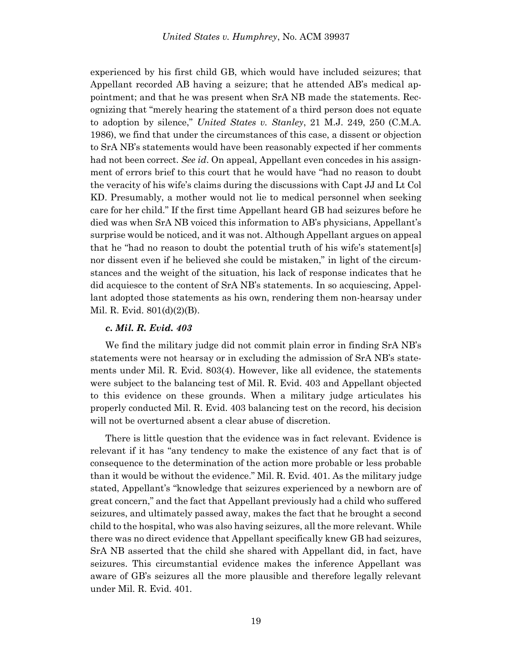experienced by his first child GB, which would have included seizures; that Appellant recorded AB having a seizure; that he attended AB's medical appointment; and that he was present when SrA NB made the statements. Recognizing that "merely hearing the statement of a third person does not equate to adoption by silence," *United States v. Stanley*, 21 M.J. 249, 250 (C.M.A. 1986), we find that under the circumstances of this case, a dissent or objection to SrA NB's statements would have been reasonably expected if her comments had not been correct. *See id*. On appeal, Appellant even concedes in his assignment of errors brief to this court that he would have "had no reason to doubt the veracity of his wife's claims during the discussions with Capt JJ and Lt Col KD. Presumably, a mother would not lie to medical personnel when seeking care for her child." If the first time Appellant heard GB had seizures before he died was when SrA NB voiced this information to AB's physicians, Appellant's surprise would be noticed, and it was not. Although Appellant argues on appeal that he "had no reason to doubt the potential truth of his wife's statement[s] nor dissent even if he believed she could be mistaken," in light of the circumstances and the weight of the situation, his lack of response indicates that he did acquiesce to the content of SrA NB's statements. In so acquiescing, Appellant adopted those statements as his own, rendering them non-hearsay under Mil. R. Evid. 801(d)(2)(B).

### *c. Mil. R. Evid. 403*

We find the military judge did not commit plain error in finding SrA NB's statements were not hearsay or in excluding the admission of SrA NB's statements under Mil. R. Evid. 803(4). However, like all evidence, the statements were subject to the balancing test of Mil. R. Evid. 403 and Appellant objected to this evidence on these grounds. When a military judge articulates his properly conducted Mil. R. Evid. 403 balancing test on the record, his decision will not be overturned absent a clear abuse of discretion.

There is little question that the evidence was in fact relevant. Evidence is relevant if it has "any tendency to make the existence of any fact that is of consequence to the determination of the action more probable or less probable than it would be without the evidence." Mil. R. Evid. 401. As the military judge stated, Appellant's "knowledge that seizures experienced by a newborn are of great concern," and the fact that Appellant previously had a child who suffered seizures, and ultimately passed away, makes the fact that he brought a second child to the hospital, who was also having seizures, all the more relevant. While there was no direct evidence that Appellant specifically knew GB had seizures, SrA NB asserted that the child she shared with Appellant did, in fact, have seizures. This circumstantial evidence makes the inference Appellant was aware of GB's seizures all the more plausible and therefore legally relevant under Mil. R. Evid. 401.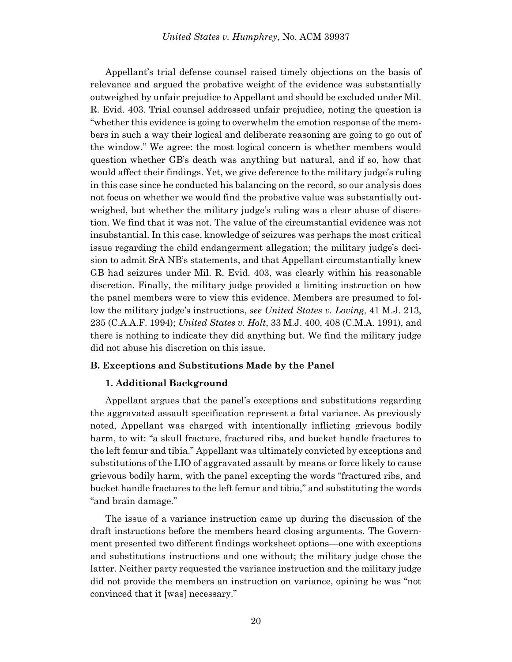Appellant's trial defense counsel raised timely objections on the basis of relevance and argued the probative weight of the evidence was substantially outweighed by unfair prejudice to Appellant and should be excluded under Mil. R. Evid. 403. Trial counsel addressed unfair prejudice, noting the question is "whether this evidence is going to overwhelm the emotion response of the members in such a way their logical and deliberate reasoning are going to go out of the window." We agree: the most logical concern is whether members would question whether GB's death was anything but natural, and if so, how that would affect their findings. Yet, we give deference to the military judge's ruling in this case since he conducted his balancing on the record, so our analysis does not focus on whether we would find the probative value was substantially outweighed, but whether the military judge's ruling was a clear abuse of discretion. We find that it was not. The value of the circumstantial evidence was not insubstantial. In this case, knowledge of seizures was perhaps the most critical issue regarding the child endangerment allegation; the military judge's decision to admit SrA NB's statements, and that Appellant circumstantially knew GB had seizures under Mil. R. Evid. 403, was clearly within his reasonable discretion. Finally, the military judge provided a limiting instruction on how the panel members were to view this evidence. Members are presumed to follow the military judge's instructions, *see United States v. Loving*, 41 M.J. 213, 235 (C.A.A.F. 1994); *United States v. Holt*, 33 M.J. 400, 408 (C.M.A. 1991), and there is nothing to indicate they did anything but. We find the military judge did not abuse his discretion on this issue.

# **B. Exceptions and Substitutions Made by the Panel**

# **1. Additional Background**

Appellant argues that the panel's exceptions and substitutions regarding the aggravated assault specification represent a fatal variance. As previously noted, Appellant was charged with intentionally inflicting grievous bodily harm, to wit: "a skull fracture, fractured ribs, and bucket handle fractures to the left femur and tibia." Appellant was ultimately convicted by exceptions and substitutions of the LIO of aggravated assault by means or force likely to cause grievous bodily harm, with the panel excepting the words "fractured ribs, and bucket handle fractures to the left femur and tibia," and substituting the words "and brain damage."

The issue of a variance instruction came up during the discussion of the draft instructions before the members heard closing arguments. The Government presented two different findings worksheet options—one with exceptions and substitutions instructions and one without; the military judge chose the latter. Neither party requested the variance instruction and the military judge did not provide the members an instruction on variance, opining he was "not convinced that it [was] necessary."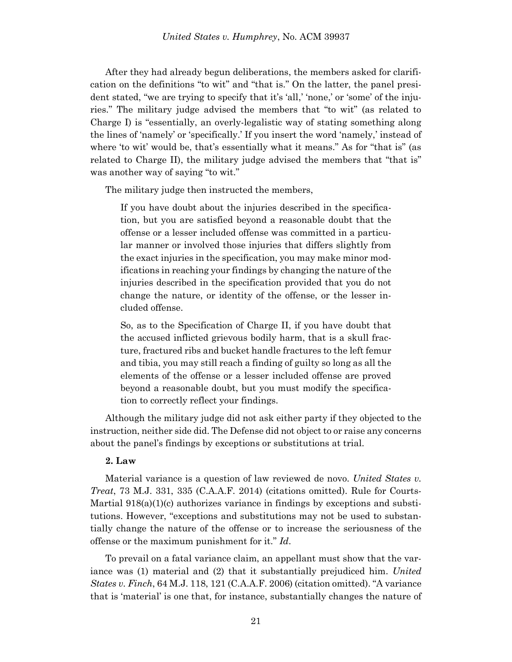After they had already begun deliberations, the members asked for clarification on the definitions "to wit" and "that is." On the latter, the panel president stated, "we are trying to specify that it's 'all,' 'none,' or 'some' of the injuries." The military judge advised the members that "to wit" (as related to Charge I) is "essentially, an overly-legalistic way of stating something along the lines of 'namely' or 'specifically.' If you insert the word 'namely,' instead of where 'to wit' would be, that's essentially what it means." As for "that is" (as related to Charge II), the military judge advised the members that "that is" was another way of saying "to wit."

The military judge then instructed the members,

If you have doubt about the injuries described in the specification, but you are satisfied beyond a reasonable doubt that the offense or a lesser included offense was committed in a particular manner or involved those injuries that differs slightly from the exact injuries in the specification, you may make minor modifications in reaching your findings by changing the nature of the injuries described in the specification provided that you do not change the nature, or identity of the offense, or the lesser included offense.

So, as to the Specification of Charge II, if you have doubt that the accused inflicted grievous bodily harm, that is a skull fracture, fractured ribs and bucket handle fractures to the left femur and tibia, you may still reach a finding of guilty so long as all the elements of the offense or a lesser included offense are proved beyond a reasonable doubt, but you must modify the specification to correctly reflect your findings.

Although the military judge did not ask either party if they objected to the instruction, neither side did. The Defense did not object to or raise any concerns about the panel's findings by exceptions or substitutions at trial.

### **2. Law**

Material variance is a question of law reviewed de novo. *United States v. Treat*, 73 M.J. 331, 335 (C.A.A.F. 2014) (citations omitted). Rule for Courts-Martial 918(a)(1)(c) authorizes variance in findings by exceptions and substitutions. However, "exceptions and substitutions may not be used to substantially change the nature of the offense or to increase the seriousness of the offense or the maximum punishment for it." *Id*.

To prevail on a fatal variance claim, an appellant must show that the variance was (1) material and (2) that it substantially prejudiced him. *United States v. Finch*, 64 M.J. 118, 121 (C.A.A.F. 2006) (citation omitted). "A variance that is 'material' is one that, for instance, substantially changes the nature of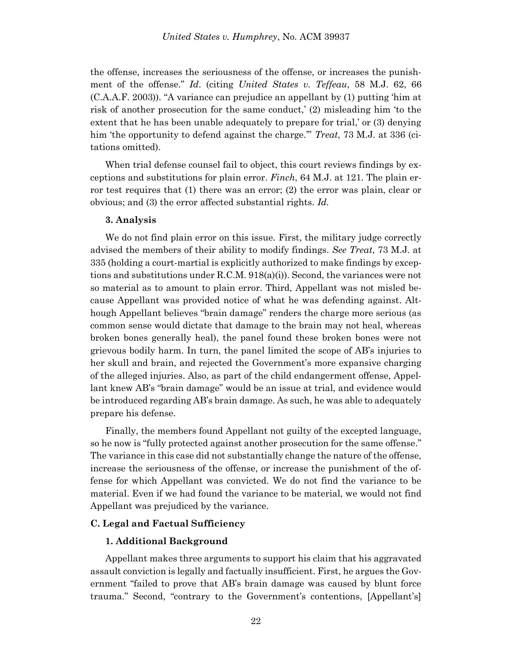the offense, increases the seriousness of the offense, or increases the punishment of the offense." *Id*. (citing *United States v. Teffeau*, 58 M.J. 62, 66 (C.A.A.F. 2003)). "A variance can prejudice an appellant by (1) putting 'him at risk of another prosecution for the same conduct,' (2) misleading him 'to the extent that he has been unable adequately to prepare for trial,' or (3) denying him 'the opportunity to defend against the charge.'" *Treat*, 73 M.J. at 336 (citations omitted).

When trial defense counsel fail to object, this court reviews findings by exceptions and substitutions for plain error. *Finch*, 64 M.J. at 121. The plain error test requires that (1) there was an error; (2) the error was plain, clear or obvious; and (3) the error affected substantial rights. *Id.*

### **3. Analysis**

We do not find plain error on this issue. First, the military judge correctly advised the members of their ability to modify findings. *See Treat*, 73 M.J. at 335 (holding a court-martial is explicitly authorized to make findings by exceptions and substitutions under R.C.M. 918(a)(i)). Second, the variances were not so material as to amount to plain error. Third, Appellant was not misled because Appellant was provided notice of what he was defending against. Although Appellant believes "brain damage" renders the charge more serious (as common sense would dictate that damage to the brain may not heal, whereas broken bones generally heal), the panel found these broken bones were not grievous bodily harm. In turn, the panel limited the scope of AB's injuries to her skull and brain, and rejected the Government's more expansive charging of the alleged injuries. Also, as part of the child endangerment offense, Appellant knew AB's "brain damage" would be an issue at trial, and evidence would be introduced regarding AB's brain damage. As such, he was able to adequately prepare his defense.

Finally, the members found Appellant not guilty of the excepted language, so he now is "fully protected against another prosecution for the same offense." The variance in this case did not substantially change the nature of the offense, increase the seriousness of the offense, or increase the punishment of the offense for which Appellant was convicted. We do not find the variance to be material. Even if we had found the variance to be material, we would not find Appellant was prejudiced by the variance.

### **C. Legal and Factual Sufficiency**

#### **1. Additional Background**

Appellant makes three arguments to support his claim that his aggravated assault conviction is legally and factually insufficient. First, he argues the Government "failed to prove that AB's brain damage was caused by blunt force trauma." Second, "contrary to the Government's contentions, [Appellant's]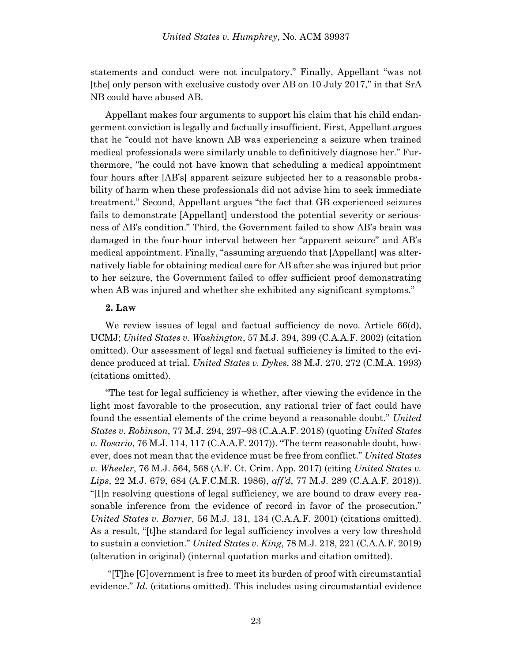statements and conduct were not inculpatory." Finally, Appellant "was not [the] only person with exclusive custody over AB on 10 July 2017," in that SrA NB could have abused AB.

Appellant makes four arguments to support his claim that his child endangerment conviction is legally and factually insufficient. First, Appellant argues that he "could not have known AB was experiencing a seizure when trained medical professionals were similarly unable to definitively diagnose her." Furthermore, "he could not have known that scheduling a medical appointment four hours after [AB's] apparent seizure subjected her to a reasonable probability of harm when these professionals did not advise him to seek immediate treatment." Second, Appellant argues "the fact that GB experienced seizures fails to demonstrate [Appellant] understood the potential severity or seriousness of AB's condition." Third, the Government failed to show AB's brain was damaged in the four-hour interval between her "apparent seizure" and AB's medical appointment. Finally, "assuming arguendo that [Appellant] was alternatively liable for obtaining medical care for AB after she was injured but prior to her seizure, the Government failed to offer sufficient proof demonstrating when AB was injured and whether she exhibited any significant symptoms."

## **2. Law**

We review issues of legal and factual sufficiency de novo. Article 66(d), UCMJ; *United States v. Washington*, 57 M.J. 394, 399 (C.A.A.F. 2002) (citation omitted). Our assessment of legal and factual sufficiency is limited to the evidence produced at trial. *United States v. Dykes*, 38 M.J. 270, 272 (C.M.A. 1993) (citations omitted).

"The test for legal sufficiency is whether, after viewing the evidence in the light most favorable to the prosecution, any rational trier of fact could have found the essential elements of the crime beyond a reasonable doubt." *United States v. Robinson*, 77 M.J. 294, 297–98 (C.A.A.F. 2018) (quoting *United States v. Rosario*, 76 M.J. 114, 117 (C.A.A.F. 2017)). "The term reasonable doubt, however, does not mean that the evidence must be free from conflict." *United States v. Wheeler*, 76 M.J. 564, 568 (A.F. Ct. Crim. App. 2017) (citing *United States v. Lips*, 22 M.J. 679, 684 (A.F.C.M.R. 1986), *aff'd*, 77 M.J. 289 (C.A.A.F. 2018)). "[I]n resolving questions of legal sufficiency, we are bound to draw every reasonable inference from the evidence of record in favor of the prosecution." *United States v. Barner*, 56 M.J. 131, 134 (C.A.A.F. 2001) (citations omitted). As a result, "[t]he standard for legal sufficiency involves a very low threshold to sustain a conviction." *United States v. King*, 78 M.J. 218, 221 (C.A.A.F. 2019) (alteration in original) (internal quotation marks and citation omitted).

"[T]he [G]overnment is free to meet its burden of proof with circumstantial evidence." *Id.* (citations omitted). This includes using circumstantial evidence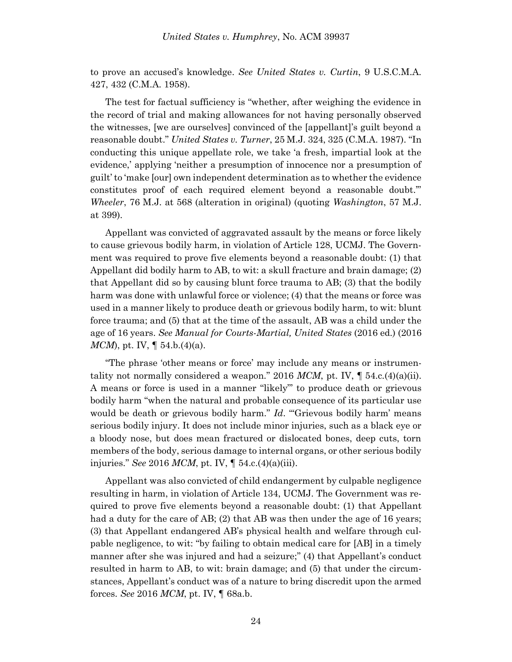to prove an accused's knowledge. *See United States v. Curtin*, 9 U.S.C.M.A. 427, 432 (C.M.A. 1958).

The test for factual sufficiency is "whether, after weighing the evidence in the record of trial and making allowances for not having personally observed the witnesses, [we are ourselves] convinced of the [appellant]'s guilt beyond a reasonable doubt." *United States v. Turner*, 25 M.J. 324, 325 (C.M.A. 1987). "In conducting this unique appellate role, we take 'a fresh, impartial look at the evidence,' applying 'neither a presumption of innocence nor a presumption of guilt' to 'make [our] own independent determination as to whether the evidence constitutes proof of each required element beyond a reasonable doubt.'" *Wheeler*, 76 M.J. at 568 (alteration in original) (quoting *Washington*, 57 M.J. at 399).

Appellant was convicted of aggravated assault by the means or force likely to cause grievous bodily harm, in violation of Article 128, UCMJ. The Government was required to prove five elements beyond a reasonable doubt: (1) that Appellant did bodily harm to AB, to wit: a skull fracture and brain damage; (2) that Appellant did so by causing blunt force trauma to AB; (3) that the bodily harm was done with unlawful force or violence; (4) that the means or force was used in a manner likely to produce death or grievous bodily harm, to wit: blunt force trauma; and (5) that at the time of the assault, AB was a child under the age of 16 years. *See Manual for Courts-Martial, United States* (2016 ed.) (2016 *MCM*), pt. IV,  $\parallel$  54.b.(4)(a).

"The phrase 'other means or force' may include any means or instrumentality not normally considered a weapon." 2016 MCM, pt. IV,  $\parallel$  54.c.(4)(a)(ii). A means or force is used in a manner "likely"' to produce death or grievous bodily harm "when the natural and probable consequence of its particular use would be death or grievous bodily harm." *Id.* "Grievous bodily harm' means serious bodily injury. It does not include minor injuries, such as a black eye or a bloody nose, but does mean fractured or dislocated bones, deep cuts, torn members of the body, serious damage to internal organs, or other serious bodily injuries." *See* 2016 *MCM*, pt. IV, ¶ 54.c.(4)(a)(iii).

Appellant was also convicted of child endangerment by culpable negligence resulting in harm, in violation of Article 134, UCMJ. The Government was required to prove five elements beyond a reasonable doubt: (1) that Appellant had a duty for the care of AB; (2) that AB was then under the age of 16 years; (3) that Appellant endangered AB's physical health and welfare through culpable negligence, to wit: "by failing to obtain medical care for [AB] in a timely manner after she was injured and had a seizure;" (4) that Appellant's conduct resulted in harm to AB, to wit: brain damage; and (5) that under the circumstances, Appellant's conduct was of a nature to bring discredit upon the armed forces. *See* 2016 *MCM*, pt. IV, ¶ 68a.b.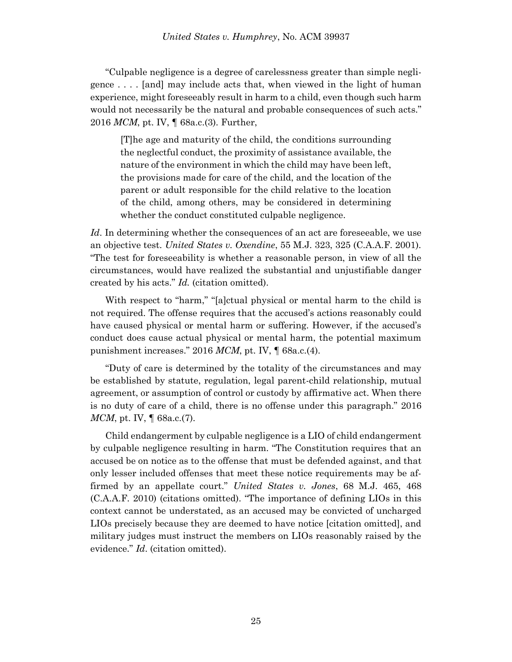"Culpable negligence is a degree of carelessness greater than simple negligence . . . . [and] may include acts that, when viewed in the light of human experience, might foreseeably result in harm to a child, even though such harm would not necessarily be the natural and probable consequences of such acts." 2016 *MCM*, pt. IV, ¶ 68a.c.(3). Further,

[T]he age and maturity of the child, the conditions surrounding the neglectful conduct, the proximity of assistance available, the nature of the environment in which the child may have been left, the provisions made for care of the child, and the location of the parent or adult responsible for the child relative to the location of the child, among others, may be considered in determining whether the conduct constituted culpable negligence.

Id. In determining whether the consequences of an act are foreseeable, we use an objective test. *United States v. Oxendine*, 55 M.J. 323, 325 (C.A.A.F. 2001). "The test for foreseeability is whether a reasonable person, in view of all the circumstances, would have realized the substantial and unjustifiable danger created by his acts." *Id.* (citation omitted).

With respect to "harm," "[a]ctual physical or mental harm to the child is not required. The offense requires that the accused's actions reasonably could have caused physical or mental harm or suffering. However, if the accused's conduct does cause actual physical or mental harm, the potential maximum punishment increases." 2016 *MCM*, pt. IV, ¶ 68a.c.(4).

"Duty of care is determined by the totality of the circumstances and may be established by statute, regulation, legal parent-child relationship, mutual agreement, or assumption of control or custody by affirmative act. When there is no duty of care of a child, there is no offense under this paragraph." 2016 *MCM*, pt. IV, ¶ 68a.c.(7).

Child endangerment by culpable negligence is a LIO of child endangerment by culpable negligence resulting in harm. "The Constitution requires that an accused be on notice as to the offense that must be defended against, and that only lesser included offenses that meet these notice requirements may be affirmed by an appellate court." *United States v. Jones*, 68 M.J. 465, 468 (C.A.A.F. 2010) (citations omitted). "The importance of defining LIOs in this context cannot be understated, as an accused may be convicted of uncharged LIOs precisely because they are deemed to have notice [citation omitted], and military judges must instruct the members on LIOs reasonably raised by the evidence." *Id*. (citation omitted).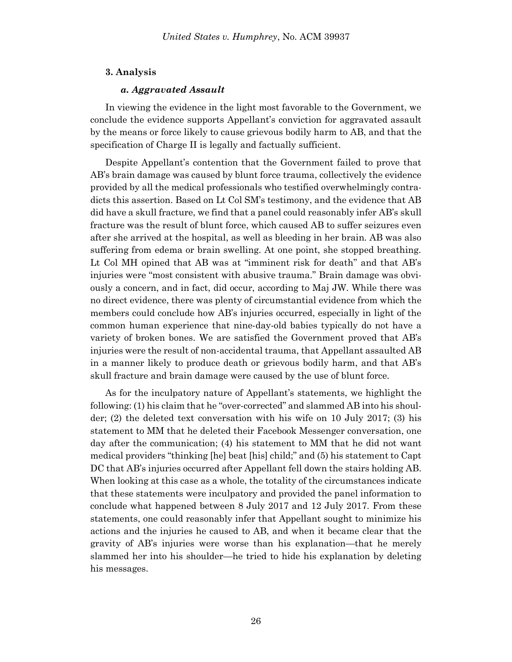# **3. Analysis**

### *a. Aggravated Assault*

In viewing the evidence in the light most favorable to the Government, we conclude the evidence supports Appellant's conviction for aggravated assault by the means or force likely to cause grievous bodily harm to AB, and that the specification of Charge II is legally and factually sufficient.

Despite Appellant's contention that the Government failed to prove that AB's brain damage was caused by blunt force trauma, collectively the evidence provided by all the medical professionals who testified overwhelmingly contradicts this assertion. Based on Lt Col SM's testimony, and the evidence that AB did have a skull fracture, we find that a panel could reasonably infer AB's skull fracture was the result of blunt force, which caused AB to suffer seizures even after she arrived at the hospital, as well as bleeding in her brain. AB was also suffering from edema or brain swelling. At one point, she stopped breathing. Lt Col MH opined that AB was at "imminent risk for death" and that AB's injuries were "most consistent with abusive trauma." Brain damage was obviously a concern, and in fact, did occur, according to Maj JW. While there was no direct evidence, there was plenty of circumstantial evidence from which the members could conclude how AB's injuries occurred, especially in light of the common human experience that nine-day-old babies typically do not have a variety of broken bones. We are satisfied the Government proved that AB's injuries were the result of non-accidental trauma, that Appellant assaulted AB in a manner likely to produce death or grievous bodily harm, and that AB's skull fracture and brain damage were caused by the use of blunt force.

As for the inculpatory nature of Appellant's statements, we highlight the following: (1) his claim that he "over-corrected" and slammed AB into his shoulder; (2) the deleted text conversation with his wife on 10 July 2017; (3) his statement to MM that he deleted their Facebook Messenger conversation, one day after the communication; (4) his statement to MM that he did not want medical providers "thinking [he] beat [his] child;" and (5) his statement to Capt DC that AB's injuries occurred after Appellant fell down the stairs holding AB. When looking at this case as a whole, the totality of the circumstances indicate that these statements were inculpatory and provided the panel information to conclude what happened between 8 July 2017 and 12 July 2017. From these statements, one could reasonably infer that Appellant sought to minimize his actions and the injuries he caused to AB, and when it became clear that the gravity of AB's injuries were worse than his explanation—that he merely slammed her into his shoulder—he tried to hide his explanation by deleting his messages.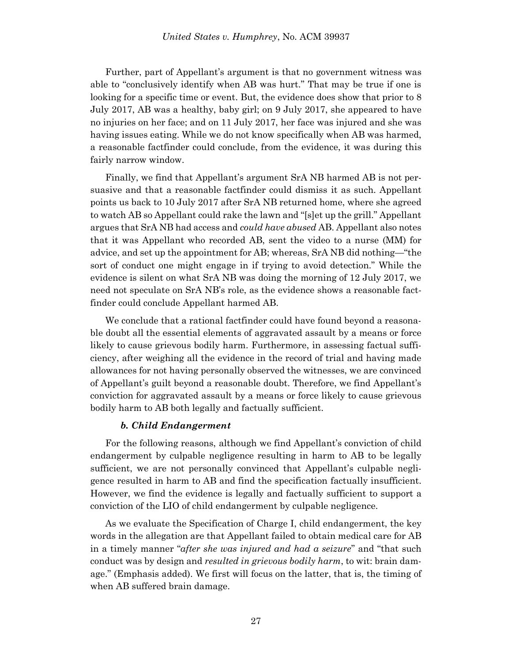Further, part of Appellant's argument is that no government witness was able to "conclusively identify when AB was hurt." That may be true if one is looking for a specific time or event. But, the evidence does show that prior to 8 July 2017, AB was a healthy, baby girl; on 9 July 2017, she appeared to have no injuries on her face; and on 11 July 2017, her face was injured and she was having issues eating. While we do not know specifically when AB was harmed, a reasonable factfinder could conclude, from the evidence, it was during this fairly narrow window.

Finally, we find that Appellant's argument SrA NB harmed AB is not persuasive and that a reasonable factfinder could dismiss it as such. Appellant points us back to 10 July 2017 after SrA NB returned home, where she agreed to watch AB so Appellant could rake the lawn and "[s]et up the grill." Appellant argues that SrA NB had access and *could have abused* AB. Appellant also notes that it was Appellant who recorded AB, sent the video to a nurse (MM) for advice, and set up the appointment for AB; whereas, SrA NB did nothing—"the sort of conduct one might engage in if trying to avoid detection." While the evidence is silent on what SrA NB was doing the morning of 12 July 2017, we need not speculate on SrA NB's role, as the evidence shows a reasonable factfinder could conclude Appellant harmed AB.

We conclude that a rational factfinder could have found beyond a reasonable doubt all the essential elements of aggravated assault by a means or force likely to cause grievous bodily harm. Furthermore, in assessing factual sufficiency, after weighing all the evidence in the record of trial and having made allowances for not having personally observed the witnesses, we are convinced of Appellant's guilt beyond a reasonable doubt. Therefore, we find Appellant's conviction for aggravated assault by a means or force likely to cause grievous bodily harm to AB both legally and factually sufficient.

# *b. Child Endangerment*

For the following reasons, although we find Appellant's conviction of child endangerment by culpable negligence resulting in harm to AB to be legally sufficient, we are not personally convinced that Appellant's culpable negligence resulted in harm to AB and find the specification factually insufficient. However, we find the evidence is legally and factually sufficient to support a conviction of the LIO of child endangerment by culpable negligence.

As we evaluate the Specification of Charge I, child endangerment, the key words in the allegation are that Appellant failed to obtain medical care for AB in a timely manner "*after she was injured and had a seizure*" and "that such conduct was by design and *resulted in grievous bodily harm*, to wit: brain damage." (Emphasis added). We first will focus on the latter, that is, the timing of when AB suffered brain damage.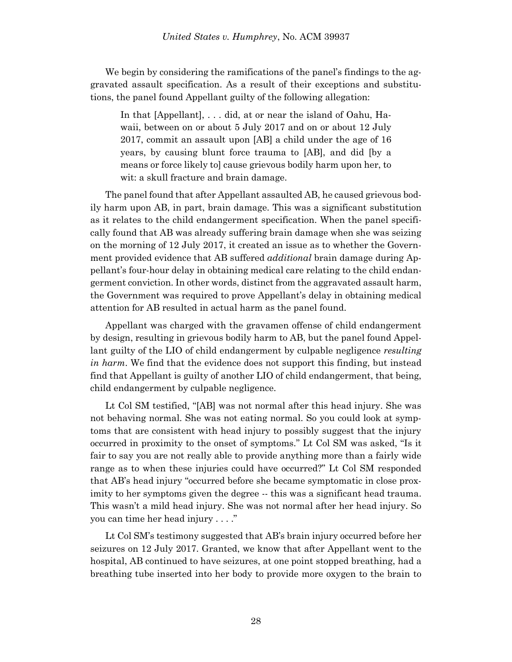We begin by considering the ramifications of the panel's findings to the aggravated assault specification. As a result of their exceptions and substitutions, the panel found Appellant guilty of the following allegation:

In that [Appellant], . . . did, at or near the island of Oahu, Hawaii, between on or about 5 July 2017 and on or about 12 July 2017, commit an assault upon [AB] a child under the age of 16 years, by causing blunt force trauma to [AB], and did [by a means or force likely to] cause grievous bodily harm upon her, to wit: a skull fracture and brain damage.

The panel found that after Appellant assaulted AB, he caused grievous bodily harm upon AB, in part, brain damage. This was a significant substitution as it relates to the child endangerment specification. When the panel specifically found that AB was already suffering brain damage when she was seizing on the morning of 12 July 2017, it created an issue as to whether the Government provided evidence that AB suffered *additional* brain damage during Appellant's four-hour delay in obtaining medical care relating to the child endangerment conviction. In other words, distinct from the aggravated assault harm, the Government was required to prove Appellant's delay in obtaining medical attention for AB resulted in actual harm as the panel found.

Appellant was charged with the gravamen offense of child endangerment by design, resulting in grievous bodily harm to AB, but the panel found Appellant guilty of the LIO of child endangerment by culpable negligence *resulting in harm*. We find that the evidence does not support this finding, but instead find that Appellant is guilty of another LIO of child endangerment, that being, child endangerment by culpable negligence.

Lt Col SM testified, "[AB] was not normal after this head injury. She was not behaving normal. She was not eating normal. So you could look at symptoms that are consistent with head injury to possibly suggest that the injury occurred in proximity to the onset of symptoms." Lt Col SM was asked, "Is it fair to say you are not really able to provide anything more than a fairly wide range as to when these injuries could have occurred?" Lt Col SM responded that AB's head injury "occurred before she became symptomatic in close proximity to her symptoms given the degree  $-$  this was a significant head trauma. This wasn't a mild head injury. She was not normal after her head injury. So you can time her head injury . . . ."

Lt Col SM's testimony suggested that AB's brain injury occurred before her seizures on 12 July 2017. Granted, we know that after Appellant went to the hospital, AB continued to have seizures, at one point stopped breathing, had a breathing tube inserted into her body to provide more oxygen to the brain to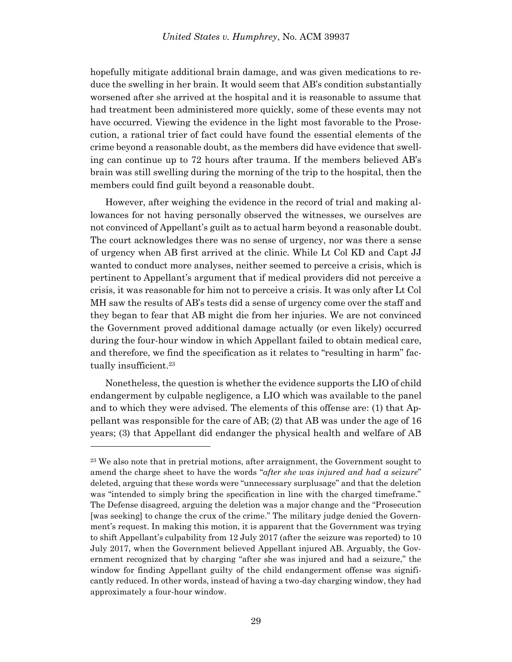hopefully mitigate additional brain damage, and was given medications to reduce the swelling in her brain. It would seem that AB's condition substantially worsened after she arrived at the hospital and it is reasonable to assume that had treatment been administered more quickly, some of these events may not have occurred. Viewing the evidence in the light most favorable to the Prosecution, a rational trier of fact could have found the essential elements of the crime beyond a reasonable doubt, as the members did have evidence that swelling can continue up to 72 hours after trauma. If the members believed AB's brain was still swelling during the morning of the trip to the hospital, then the members could find guilt beyond a reasonable doubt.

However, after weighing the evidence in the record of trial and making allowances for not having personally observed the witnesses, we ourselves are not convinced of Appellant's guilt as to actual harm beyond a reasonable doubt. The court acknowledges there was no sense of urgency, nor was there a sense of urgency when AB first arrived at the clinic. While Lt Col KD and Capt JJ wanted to conduct more analyses, neither seemed to perceive a crisis, which is pertinent to Appellant's argument that if medical providers did not perceive a crisis, it was reasonable for him not to perceive a crisis. It was only after Lt Col MH saw the results of AB's tests did a sense of urgency come over the staff and they began to fear that AB might die from her injuries. We are not convinced the Government proved additional damage actually (or even likely) occurred during the four-hour window in which Appellant failed to obtain medical care, and therefore, we find the specification as it relates to "resulting in harm" factually insufficient.<sup>23</sup>

Nonetheless, the question is whether the evidence supports the LIO of child endangerment by culpable negligence, a LIO which was available to the panel and to which they were advised. The elements of this offense are: (1) that Appellant was responsible for the care of AB; (2) that AB was under the age of 16 years; (3) that Appellant did endanger the physical health and welfare of AB

<sup>23</sup> We also note that in pretrial motions, after arraignment, the Government sought to amend the charge sheet to have the words "*after she was injured and had a seizure*" deleted, arguing that these words were "unnecessary surplusage" and that the deletion was "intended to simply bring the specification in line with the charged timeframe." The Defense disagreed, arguing the deletion was a major change and the "Prosecution [was seeking] to change the crux of the crime." The military judge denied the Government's request. In making this motion, it is apparent that the Government was trying to shift Appellant's culpability from 12 July 2017 (after the seizure was reported) to 10 July 2017, when the Government believed Appellant injured AB. Arguably, the Government recognized that by charging "after she was injured and had a seizure," the window for finding Appellant guilty of the child endangerment offense was significantly reduced. In other words, instead of having a two-day charging window, they had approximately a four-hour window.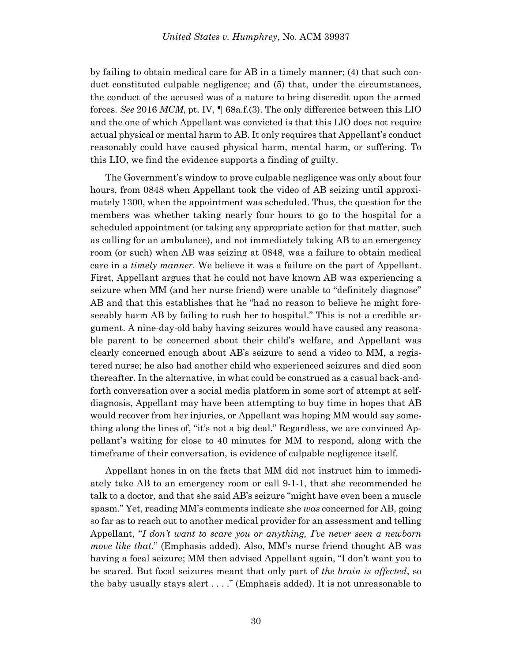by failing to obtain medical care for AB in a timely manner; (4) that such conduct constituted culpable negligence; and (5) that, under the circumstances, the conduct of the accused was of a nature to bring discredit upon the armed forces. *See* 2016 *MCM*, pt. IV, ¶ 68a.f.(3). The only difference between this LIO and the one of which Appellant was convicted is that this LIO does not require actual physical or mental harm to AB. It only requires that Appellant's conduct reasonably could have caused physical harm, mental harm, or suffering. To this LIO, we find the evidence supports a finding of guilty.

The Government's window to prove culpable negligence was only about four hours, from 0848 when Appellant took the video of AB seizing until approximately 1300, when the appointment was scheduled. Thus, the question for the members was whether taking nearly four hours to go to the hospital for a scheduled appointment (or taking any appropriate action for that matter, such as calling for an ambulance), and not immediately taking AB to an emergency room (or such) when AB was seizing at 0848, was a failure to obtain medical care in a *timely manner*. We believe it was a failure on the part of Appellant. First, Appellant argues that he could not have known AB was experiencing a seizure when MM (and her nurse friend) were unable to "definitely diagnose" AB and that this establishes that he "had no reason to believe he might foreseeably harm AB by failing to rush her to hospital." This is not a credible argument. A nine-day-old baby having seizures would have caused any reasonable parent to be concerned about their child's welfare, and Appellant was clearly concerned enough about AB's seizure to send a video to MM, a registered nurse; he also had another child who experienced seizures and died soon thereafter. In the alternative, in what could be construed as a casual back-andforth conversation over a social media platform in some sort of attempt at selfdiagnosis, Appellant may have been attempting to buy time in hopes that AB would recover from her injuries, or Appellant was hoping MM would say something along the lines of, "it's not a big deal." Regardless, we are convinced Appellant's waiting for close to 40 minutes for MM to respond, along with the timeframe of their conversation, is evidence of culpable negligence itself.

Appellant hones in on the facts that MM did not instruct him to immediately take AB to an emergency room or call 9-1-1, that she recommended he talk to a doctor, and that she said AB's seizure "might have even been a muscle spasm." Yet, reading MM's comments indicate she *was* concerned for AB, going so far as to reach out to another medical provider for an assessment and telling Appellant, "*I don't want to scare you or anything, I've never seen a newborn move like that*." (Emphasis added). Also, MM's nurse friend thought AB was having a focal seizure; MM then advised Appellant again, "I don't want you to be scared. But focal seizures meant that only part of *the brain is affected*, so the baby usually stays alert . . . ." (Emphasis added). It is not unreasonable to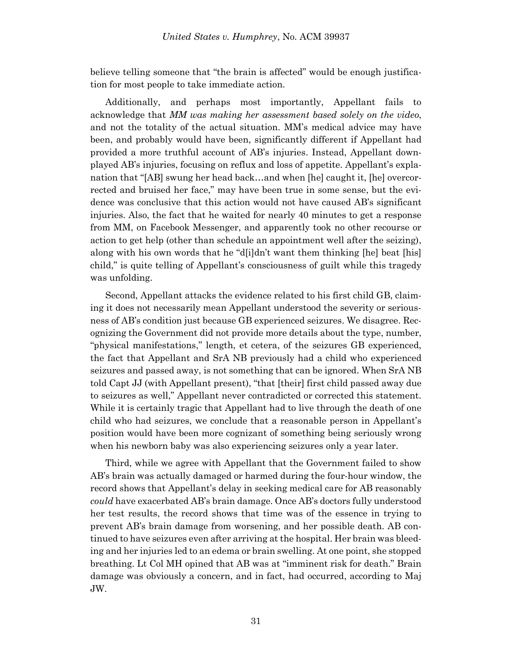believe telling someone that "the brain is affected" would be enough justification for most people to take immediate action.

Additionally, and perhaps most importantly, Appellant fails to acknowledge that *MM was making her assessment based solely on the video*, and not the totality of the actual situation. MM's medical advice may have been, and probably would have been, significantly different if Appellant had provided a more truthful account of AB's injuries. Instead, Appellant downplayed AB's injuries, focusing on reflux and loss of appetite. Appellant's explanation that "[AB] swung her head back…and when [he] caught it, [he] overcorrected and bruised her face," may have been true in some sense, but the evidence was conclusive that this action would not have caused AB's significant injuries. Also, the fact that he waited for nearly 40 minutes to get a response from MM, on Facebook Messenger, and apparently took no other recourse or action to get help (other than schedule an appointment well after the seizing), along with his own words that he "d[i]dn't want them thinking [he] beat [his] child," is quite telling of Appellant's consciousness of guilt while this tragedy was unfolding.

Second, Appellant attacks the evidence related to his first child GB, claiming it does not necessarily mean Appellant understood the severity or seriousness of AB's condition just because GB experienced seizures. We disagree. Recognizing the Government did not provide more details about the type, number, "physical manifestations," length, et cetera, of the seizures GB experienced, the fact that Appellant and SrA NB previously had a child who experienced seizures and passed away, is not something that can be ignored. When SrA NB told Capt JJ (with Appellant present), "that [their] first child passed away due to seizures as well," Appellant never contradicted or corrected this statement. While it is certainly tragic that Appellant had to live through the death of one child who had seizures, we conclude that a reasonable person in Appellant's position would have been more cognizant of something being seriously wrong when his newborn baby was also experiencing seizures only a year later.

Third, while we agree with Appellant that the Government failed to show AB's brain was actually damaged or harmed during the four-hour window, the record shows that Appellant's delay in seeking medical care for AB reasonably *could* have exacerbated AB's brain damage. Once AB's doctors fully understood her test results, the record shows that time was of the essence in trying to prevent AB's brain damage from worsening, and her possible death. AB continued to have seizures even after arriving at the hospital. Her brain was bleeding and her injuries led to an edema or brain swelling. At one point, she stopped breathing. Lt Col MH opined that AB was at "imminent risk for death." Brain damage was obviously a concern, and in fact, had occurred, according to Maj JW.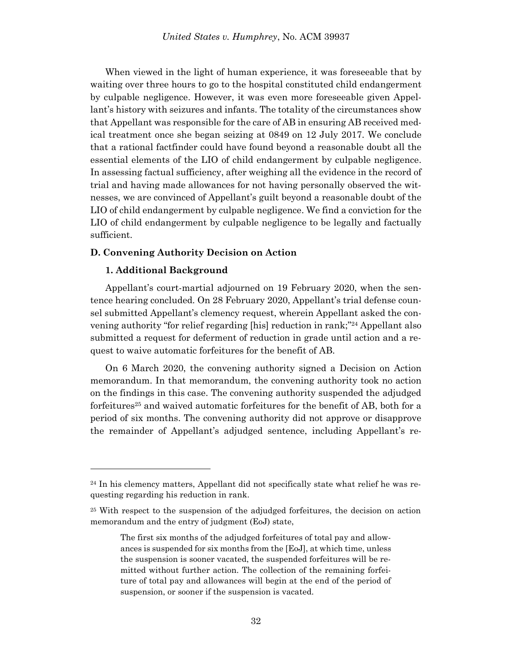When viewed in the light of human experience, it was foreseeable that by waiting over three hours to go to the hospital constituted child endangerment by culpable negligence. However, it was even more foreseeable given Appellant's history with seizures and infants. The totality of the circumstances show that Appellant was responsible for the care of AB in ensuring AB received medical treatment once she began seizing at 0849 on 12 July 2017. We conclude that a rational factfinder could have found beyond a reasonable doubt all the essential elements of the LIO of child endangerment by culpable negligence. In assessing factual sufficiency, after weighing all the evidence in the record of trial and having made allowances for not having personally observed the witnesses, we are convinced of Appellant's guilt beyond a reasonable doubt of the LIO of child endangerment by culpable negligence. We find a conviction for the LIO of child endangerment by culpable negligence to be legally and factually sufficient.

# **D. Convening Authority Decision on Action**

# **1. Additional Background**

Appellant's court-martial adjourned on 19 February 2020, when the sentence hearing concluded. On 28 February 2020, Appellant's trial defense counsel submitted Appellant's clemency request, wherein Appellant asked the convening authority "for relief regarding [his] reduction in rank;" <sup>24</sup> Appellant also submitted a request for deferment of reduction in grade until action and a request to waive automatic forfeitures for the benefit of AB.

On 6 March 2020, the convening authority signed a Decision on Action memorandum. In that memorandum, the convening authority took no action on the findings in this case. The convening authority suspended the adjudged forfeitures<sup>25</sup> and waived automatic forfeitures for the benefit of AB, both for a period of six months. The convening authority did not approve or disapprove the remainder of Appellant's adjudged sentence, including Appellant's re-

<sup>24</sup> In his clemency matters, Appellant did not specifically state what relief he was requesting regarding his reduction in rank.

<sup>25</sup> With respect to the suspension of the adjudged forfeitures, the decision on action memorandum and the entry of judgment (EoJ) state,

The first six months of the adjudged forfeitures of total pay and allowances is suspended for six months from the [EoJ], at which time, unless the suspension is sooner vacated, the suspended forfeitures will be remitted without further action. The collection of the remaining forfeiture of total pay and allowances will begin at the end of the period of suspension, or sooner if the suspension is vacated.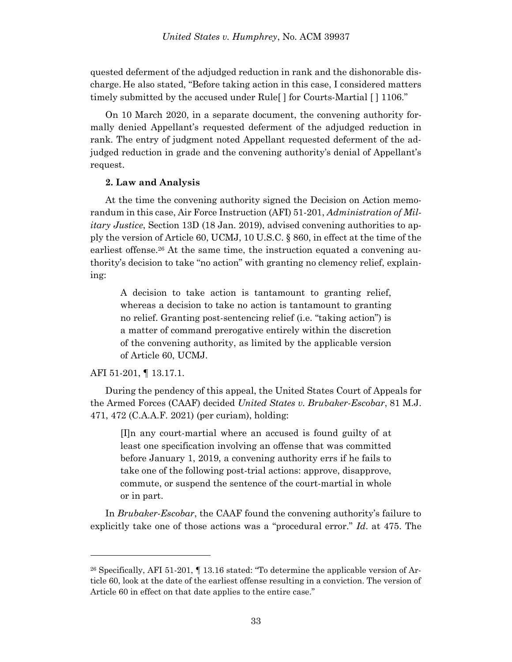quested deferment of the adjudged reduction in rank and the dishonorable discharge. He also stated, "Before taking action in this case, I considered matters timely submitted by the accused under Rule[ ] for Courts-Martial [ ] 1106."

On 10 March 2020, in a separate document, the convening authority formally denied Appellant's requested deferment of the adjudged reduction in rank. The entry of judgment noted Appellant requested deferment of the adjudged reduction in grade and the convening authority's denial of Appellant's request.

### **2. Law and Analysis**

At the time the convening authority signed the Decision on Action memorandum in this case, Air Force Instruction (AFI) 51-201, *Administration of Military Justice*, Section 13D (18 Jan. 2019), advised convening authorities to apply the version of Article 60, UCMJ, 10 U.S.C. § 860, in effect at the time of the earliest offense.<sup>26</sup> At the same time, the instruction equated a convening authority's decision to take "no action" with granting no clemency relief, explaining:

A decision to take action is tantamount to granting relief, whereas a decision to take no action is tantamount to granting no relief. Granting post-sentencing relief (i.e. "taking action") is a matter of command prerogative entirely within the discretion of the convening authority, as limited by the applicable version of Article 60, UCMJ.

### AFI 51-201, ¶ 13.17.1.

l

During the pendency of this appeal, the United States Court of Appeals for the Armed Forces (CAAF) decided *United States v. Brubaker-Escobar*, 81 M.J. 471, 472 (C.A.A.F. 2021) (per curiam), holding:

[I]n any court-martial where an accused is found guilty of at least one specification involving an offense that was committed before January 1, 2019, a convening authority errs if he fails to take one of the following post-trial actions: approve, disapprove, commute, or suspend the sentence of the court-martial in whole or in part.

In *Brubaker-Escobar*, the CAAF found the convening authority's failure to explicitly take one of those actions was a "procedural error." *Id*. at 475. The

 $^{26}$  Specifically, AFI 51-201,  $\P$  13.16 stated: "To determine the applicable version of Article 60, look at the date of the earliest offense resulting in a conviction. The version of Article 60 in effect on that date applies to the entire case."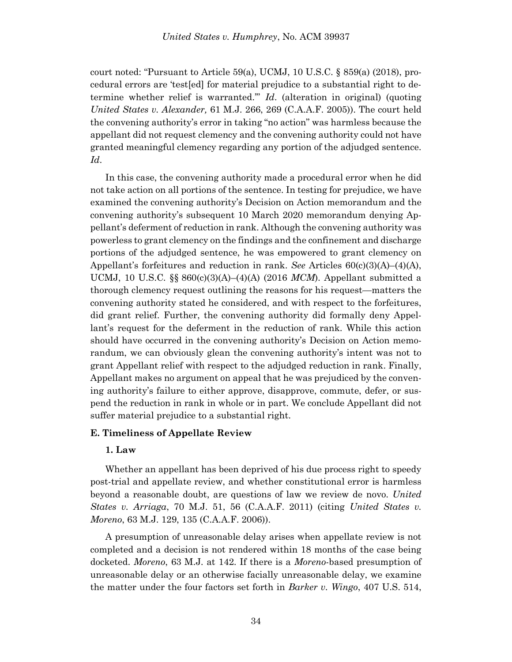court noted: "Pursuant to Article 59(a), UCMJ, 10 U.S.C. § 859(a) (2018), procedural errors are 'test[ed] for material prejudice to a substantial right to determine whether relief is warranted.'" *Id*. (alteration in original) (quoting *United States v. Alexander,* 61 M.J. 266, 269 (C.A.A.F. 2005)). The court held the convening authority's error in taking "no action" was harmless because the appellant did not request clemency and the convening authority could not have granted meaningful clemency regarding any portion of the adjudged sentence. *Id*.

In this case, the convening authority made a procedural error when he did not take action on all portions of the sentence. In testing for prejudice, we have examined the convening authority's Decision on Action memorandum and the convening authority's subsequent 10 March 2020 memorandum denying Appellant's deferment of reduction in rank. Although the convening authority was powerless to grant clemency on the findings and the confinement and discharge portions of the adjudged sentence, he was empowered to grant clemency on Appellant's forfeitures and reduction in rank. *See* Articles 60(c)(3)(A)–(4)(A), UCMJ, 10 U.S.C. §§ 860(c)(3)(A)–(4)(A) (2016 *MCM*). Appellant submitted a thorough clemency request outlining the reasons for his request—matters the convening authority stated he considered, and with respect to the forfeitures, did grant relief. Further, the convening authority did formally deny Appellant's request for the deferment in the reduction of rank. While this action should have occurred in the convening authority's Decision on Action memorandum, we can obviously glean the convening authority's intent was not to grant Appellant relief with respect to the adjudged reduction in rank. Finally, Appellant makes no argument on appeal that he was prejudiced by the convening authority's failure to either approve, disapprove, commute, defer, or suspend the reduction in rank in whole or in part. We conclude Appellant did not suffer material prejudice to a substantial right.

# **E. Timeliness of Appellate Review**

### **1. Law**

Whether an appellant has been deprived of his due process right to speedy post-trial and appellate review, and whether constitutional error is harmless beyond a reasonable doubt, are questions of law we review de novo. *United States v. Arriaga*, 70 M.J. 51, 56 (C.A.A.F. 2011) (citing *United States v. Moreno*, 63 M.J. 129, 135 (C.A.A.F. 2006)).

A presumption of unreasonable delay arises when appellate review is not completed and a decision is not rendered within 18 months of the case being docketed. *Moreno*, 63 M.J. at 142. If there is a *Moreno*-based presumption of unreasonable delay or an otherwise facially unreasonable delay, we examine the matter under the four factors set forth in *Barker v. Wingo*, 407 U.S. 514,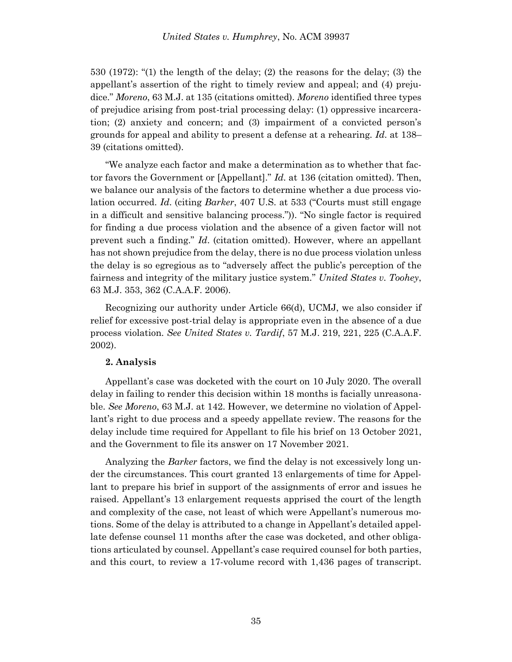530 (1972): "(1) the length of the delay; (2) the reasons for the delay; (3) the appellant's assertion of the right to timely review and appeal; and (4) prejudice." *Moreno*, 63 M.J. at 135 (citations omitted). *Moreno* identified three types of prejudice arising from post-trial processing delay: (1) oppressive incarceration; (2) anxiety and concern; and (3) impairment of a convicted person's grounds for appeal and ability to present a defense at a rehearing. *Id*. at 138– 39 (citations omitted).

"We analyze each factor and make a determination as to whether that factor favors the Government or [Appellant]." *Id*. at 136 (citation omitted). Then, we balance our analysis of the factors to determine whether a due process violation occurred. *Id*. (citing *Barker*, 407 U.S. at 533 ("Courts must still engage in a difficult and sensitive balancing process.")). "No single factor is required for finding a due process violation and the absence of a given factor will not prevent such a finding." *Id*. (citation omitted). However, where an appellant has not shown prejudice from the delay, there is no due process violation unless the delay is so egregious as to "adversely affect the public's perception of the fairness and integrity of the military justice system." *United States v. Toohey*, 63 M.J. 353, 362 (C.A.A.F. 2006).

Recognizing our authority under Article 66(d), UCMJ, we also consider if relief for excessive post-trial delay is appropriate even in the absence of a due process violation. *See United States v. Tardif*, 57 M.J. 219, 221, 225 (C.A.A.F. 2002).

# **2. Analysis**

Appellant's case was docketed with the court on 10 July 2020. The overall delay in failing to render this decision within 18 months is facially unreasonable. *See Moreno*, 63 M.J. at 142. However, we determine no violation of Appellant's right to due process and a speedy appellate review. The reasons for the delay include time required for Appellant to file his brief on 13 October 2021, and the Government to file its answer on 17 November 2021.

Analyzing the *Barker* factors, we find the delay is not excessively long under the circumstances. This court granted 13 enlargements of time for Appellant to prepare his brief in support of the assignments of error and issues he raised. Appellant's 13 enlargement requests apprised the court of the length and complexity of the case, not least of which were Appellant's numerous motions. Some of the delay is attributed to a change in Appellant's detailed appellate defense counsel 11 months after the case was docketed, and other obligations articulated by counsel. Appellant's case required counsel for both parties, and this court, to review a 17-volume record with 1,436 pages of transcript.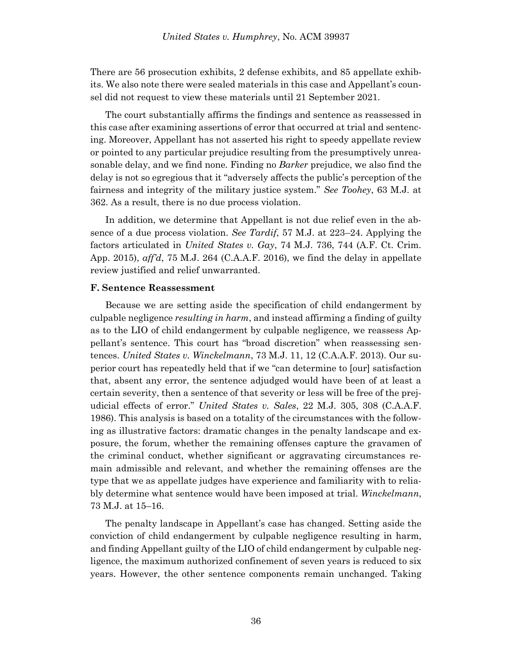There are 56 prosecution exhibits, 2 defense exhibits, and 85 appellate exhibits. We also note there were sealed materials in this case and Appellant's counsel did not request to view these materials until 21 September 2021.

The court substantially affirms the findings and sentence as reassessed in this case after examining assertions of error that occurred at trial and sentencing. Moreover, Appellant has not asserted his right to speedy appellate review or pointed to any particular prejudice resulting from the presumptively unreasonable delay, and we find none. Finding no *Barker* prejudice, we also find the delay is not so egregious that it "adversely affects the public's perception of the fairness and integrity of the military justice system." *See Toohey*, 63 M.J. at 362. As a result, there is no due process violation.

In addition, we determine that Appellant is not due relief even in the absence of a due process violation. *See Tardif*, 57 M.J. at 223–24. Applying the factors articulated in *United States v. Gay*, 74 M.J. 736, 744 (A.F. Ct. Crim. App. 2015), *aff'd*, 75 M.J. 264 (C.A.A.F. 2016), we find the delay in appellate review justified and relief unwarranted.

#### **F. Sentence Reassessment**

Because we are setting aside the specification of child endangerment by culpable negligence *resulting in harm*, and instead affirming a finding of guilty as to the LIO of child endangerment by culpable negligence, we reassess Appellant's sentence. This court has "broad discretion" when reassessing sentences. *United States v. Winckelmann*[, 73 M.J. 11, 12 \(C.A.A.F. 2013\).](https://advance.lexis.com/document/?pdmfid=1000516&crid=fb62d579-324c-47b9-b741-5d3d81b69948&pddocfullpath=%2Fshared%2Fdocument%2Fcases%2Furn%3AcontentItem%3A5J0M-GR31-F04C-B07X-00000-00&pdcontentcomponentid=7814&pdshepid=urn%3AcontentItem%3A5J10-NKY1-DXC7-M2H5-00000-00&pdteaserkey=sr16&pditab=allpods&ecomp=_xg4k&earg=sr16&prid=2b557a51-0f6c-4a96-848a-0e6d4ebb8fa7) Our superior court has repeatedly held that if we "can determine to [our] satisfaction that, absent any error, the sentence adjudged would have been of at least a certain severity, then a sentence of that severity or less will be free of the prejudicial effects of error." *United States v. Sales*[, 22 M.J. 305, 308 \(C.A.A.F.](https://advance.lexis.com/document/?pdmfid=1000516&crid=fb62d579-324c-47b9-b741-5d3d81b69948&pddocfullpath=%2Fshared%2Fdocument%2Fcases%2Furn%3AcontentItem%3A5J0M-GR31-F04C-B07X-00000-00&pdcontentcomponentid=7814&pdshepid=urn%3AcontentItem%3A5J10-NKY1-DXC7-M2H5-00000-00&pdteaserkey=sr16&pditab=allpods&ecomp=_xg4k&earg=sr16&prid=2b557a51-0f6c-4a96-848a-0e6d4ebb8fa7)  [1986\).](https://advance.lexis.com/document/?pdmfid=1000516&crid=fb62d579-324c-47b9-b741-5d3d81b69948&pddocfullpath=%2Fshared%2Fdocument%2Fcases%2Furn%3AcontentItem%3A5J0M-GR31-F04C-B07X-00000-00&pdcontentcomponentid=7814&pdshepid=urn%3AcontentItem%3A5J10-NKY1-DXC7-M2H5-00000-00&pdteaserkey=sr16&pditab=allpods&ecomp=_xg4k&earg=sr16&prid=2b557a51-0f6c-4a96-848a-0e6d4ebb8fa7) This analysis is based on a totality of the circumstances with the following as illustrative factors: dramatic changes in the penalty landscape and exposure, the forum, whether the remaining offenses capture the gravamen of the criminal conduct, whether significant or aggravating circumstances remain admissible and relevant, and whether the remaining offenses are the type that we as appellate judges have experience and familiarity with to reliably determine what sentence would have been imposed at trial. *[Winckelmann](https://advance.lexis.com/document/?pdmfid=1000516&crid=fb62d579-324c-47b9-b741-5d3d81b69948&pddocfullpath=%2Fshared%2Fdocument%2Fcases%2Furn%3AcontentItem%3A5J0M-GR31-F04C-B07X-00000-00&pdcontentcomponentid=7814&pdshepid=urn%3AcontentItem%3A5J10-NKY1-DXC7-M2H5-00000-00&pdteaserkey=sr16&pditab=allpods&ecomp=_xg4k&earg=sr16&prid=2b557a51-0f6c-4a96-848a-0e6d4ebb8fa7)*, [73 M.J. at 15](https://advance.lexis.com/document/?pdmfid=1000516&crid=fb62d579-324c-47b9-b741-5d3d81b69948&pddocfullpath=%2Fshared%2Fdocument%2Fcases%2Furn%3AcontentItem%3A5J0M-GR31-F04C-B07X-00000-00&pdcontentcomponentid=7814&pdshepid=urn%3AcontentItem%3A5J10-NKY1-DXC7-M2H5-00000-00&pdteaserkey=sr16&pditab=allpods&ecomp=_xg4k&earg=sr16&prid=2b557a51-0f6c-4a96-848a-0e6d4ebb8fa7)–16.

The penalty landscape in Appellant's case has changed. Setting aside the conviction of child endangerment by culpable negligence resulting in harm, and finding Appellant guilty of the LIO of child endangerment by culpable negligence, the maximum authorized confinement of seven years is reduced to six years. However, the other sentence components remain unchanged. Taking